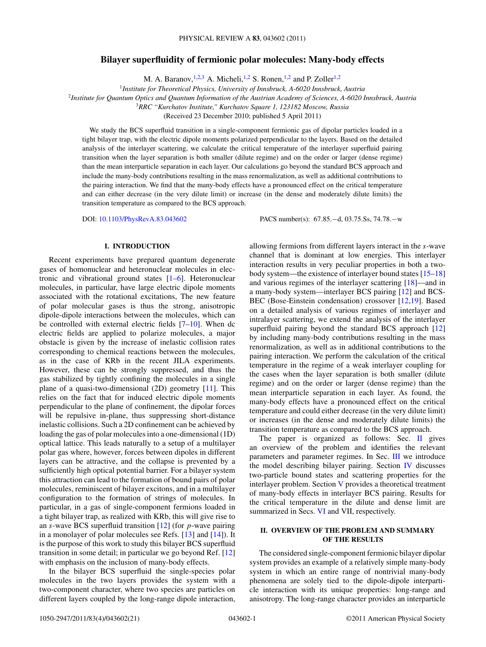## **Bilayer superfluidity of fermionic polar molecules: Many-body effects**

M. A. Baranov,  $^{1,2,3}$  A. Micheli,  $^{1,2}$  S. Ronen,  $^{1,2}$  and P. Zoller<sup>1,2</sup>

<sup>1</sup>*Institute for Theoretical Physics, University of Innsbruck, A-6020 Innsbruck, Austria*

<sup>2</sup>*Institute for Quantum Optics and Quantum Information of the Austrian Academy of Sciences, A-6020 Innsbruck, Austria*

<sup>3</sup>*RRC "Kurchatov Institute," Kurchatov Square 1, 123182 Moscow, Russia*

(Received 23 December 2010; published 5 April 2011)

We study the BCS superfluid transition in a single-component fermionic gas of dipolar particles loaded in a tight bilayer trap, with the electric dipole moments polarized perpendicular to the layers. Based on the detailed analysis of the interlayer scattering, we calculate the critical temperature of the interlayer superfluid pairing transition when the layer separation is both smaller (dilute regime) and on the order or larger (dense regime) than the mean interparticle separation in each layer. Our calculations go beyond the standard BCS approach and include the many-body contributions resulting in the mass renormalization, as well as additional contributions to the pairing interaction. We find that the many-body effects have a pronounced effect on the critical temperature and can either decrease (in the very dilute limit) or increase (in the dense and moderately dilute limits) the transition temperature as compared to the BCS approach.

DOI: [10.1103/PhysRevA.83.043602](http://dx.doi.org/10.1103/PhysRevA.83.043602) PACS number(s): 67*.*85*.*−d, 03*.*75*.*Ss, 74*.*78*.*−w

## **I. INTRODUCTION**

Recent experiments have prepared quantum degenerate gases of homonuclear and heteronuclear molecules in electronic and vibrational ground states [\[1–6\]](#page-20-0). Heteronuclear molecules, in particular, have large electric dipole moments associated with the rotational excitations, The new feature of polar molecular gases is thus the strong, anisotropic dipole-dipole interactions between the molecules, which can be controlled with external electric fields  $[7-10]$ . When dc electric fields are applied to polarize molecules, a major obstacle is given by the increase of inelastic collision rates corresponding to chemical reactions between the molecules, as in the case of KRb in the recent JILA experiments. However, these can be strongly suppressed, and thus the gas stabilized by tightly confining the molecules in a single plane of a quasi-two-dimensional (2D) geometry [\[11\]](#page-20-0). This relies on the fact that for induced electric dipole moments perpendicular to the plane of confinement, the dipolar forces will be repulsive in-plane, thus suppressing short-distance inelastic collisions. Such a 2D confinement can be achieved by loading the gas of polar molecules into a one-dimensional (1D) optical lattice. This leads naturally to a setup of a multilayer polar gas where, however, forces between dipoles in different layers can be attractive, and the collapse is prevented by a sufficiently high optical potential barrier. For a bilayer system this attraction can lead to the formation of bound pairs of polar molecules, reminiscent of bilayer excitons, and in a multilayer configuration to the formation of strings of molecules. In particular, in a gas of single-component fermions loaded in a tight bilayer trap, as realized with KRb, this will give rise to an *s*-wave BCS superfluid transition [\[12\]](#page-20-0) (for *p*-wave pairing in a monolayer of polar molecules see Refs. [\[13\]](#page-20-0) and [\[14\]](#page-20-0)). It is the purpose of this work to study this bilayer BCS superfluid transition in some detail; in particular we go beyond Ref. [\[12\]](#page-20-0) with emphasis on the inclusion of many-body effects.

In the bilayer BCS superfluid the single-species polar molecules in the two layers provides the system with a two-component character, where two species are particles on different layers coupled by the long-range dipole interaction, allowing fermions from different layers interact in the *s*-wave channel that is dominant at low energies. This interlayer interaction results in very peculiar properties in both a twobody system—the existence of interlayer bound states [\[15–18\]](#page-20-0) and various regimes of the interlayer scattering [\[18\]](#page-20-0)—and in a many-body system—interlayer BCS pairing [\[12\]](#page-20-0) and BCS-BEC (Bose-Einstein condensation) crossover [\[12,19\]](#page-20-0). Based on a detailed analysis of various regimes of interlayer and intralayer scattering, we extend the analysis of the interlayer superfluid pairing beyond the standard BCS approach [\[12\]](#page-20-0) by including many-body contributions resulting in the mass renormalization, as well as in additional contributions to the pairing interaction. We perform the calculation of the critical temperature in the regime of a weak interlayer coupling for the cases when the layer separation is both smaller (dilute regime) and on the order or larger (dense regime) than the mean interparticle separation in each layer. As found, the many-body effects have a pronounced effect on the critical temperature and could either decrease (in the very dilute limit) or increases (in the dense and moderately dilute limits) the transition temperature as compared to the BCS approach.

The paper is organized as follows: Sec. II gives an overview of the problem and identifies the relevant parameters and parameter regimes. In Sec. [III](#page-2-0) we introduce the model describing bilayer pairing. Section [IV](#page-3-0) discusses two-particle bound states and scattering properties for the interlayer problem. Section [V](#page-5-0) provides a theoretical treatment of many-body effects in interlayer BCS pairing. Results for the critical temperature in the dilute and dense limit are summarized in Secs. [VI](#page-7-0) and VII, respectively.

## **II. OVERVIEW OF THE PROBLEM AND SUMMARY OF THE RESULTS**

The considered single-component fermionic bilayer dipolar system provides an example of a relatively simple many-body system in which an entire range of nontrivial many-body phenomena are solely tied to the dipole-dipole interparticle interaction with its unique properties: long-range and anisotropy. The long-range character provides an interparticle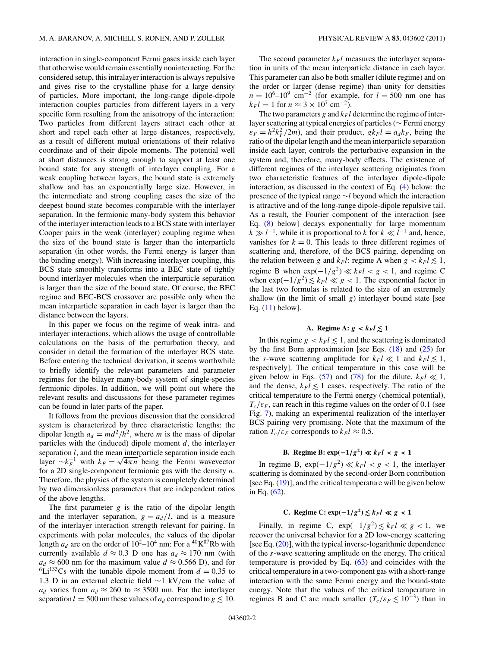interaction in single-component Fermi gases inside each layer that otherwise would remain essentially noninteracting. For the considered setup, this intralayer interaction is always repulsive and gives rise to the crystalline phase for a large density of particles. More important, the long-range dipole-dipole interaction couples particles from different layers in a very specific form resulting from the anisotropy of the interaction: Two particles from different layers attract each other at short and repel each other at large distances, respectively, as a result of different mutual orientations of their relative coordinate and of their dipole moments. The potential well at short distances is strong enough to support at least one bound state for any strength of interlayer coupling. For a weak coupling between layers, the bound state is extremely shallow and has an exponentially large size. However, in the intermediate and strong coupling cases the size of the deepest bound state becomes comparable with the interlayer separation. In the fermionic many-body system this behavior of the interlayer interaction leads to a BCS state with interlayer Cooper pairs in the weak (interlayer) coupling regime when the size of the bound state is larger than the interparticle separation (in other words, the Fermi energy is larger than the binding energy). With increasing interlayer coupling, this BCS state smoothly transforms into a BEC state of tightly bound interlayer molecules when the interparticle separation is larger than the size of the bound state. Of course, the BEC regime and BEC-BCS crossover are possible only when the mean interparticle separation in each layer is larger than the distance between the layers.

In this paper we focus on the regime of weak intra- and interlayer interactions, which allows the usage of controllable calculations on the basis of the perturbation theory, and consider in detail the formation of the interlayer BCS state. Before entering the technical derivation, it seems worthwhile to briefly identify the relevant parameters and parameter regimes for the bilayer many-body system of single-species fermionic dipoles. In addition, we will point out where the relevant results and discussions for these parameter regimes can be found in later parts of the paper.

It follows from the previous discussion that the considered system is characterized by three characteristic lengths: the dipolar length  $a_d = md^2/\hbar^2$ , where *m* is the mass of dipolar particles with the (induced) dipole moment *d*, the interlayer separation *l*, and the mean interparticle separation inside each *separation <i>t*, and the mean interparticle separation inside each layer  $\sim k_F^{-1}$  with  $k_F = \sqrt{4\pi n}$  being the Fermi wavevector for a 2D single-component fermionic gas with the density *n*. Therefore, the physics of the system is completely determined by two dimensionless parameters that are independent ratios of the above lengths.

The first parameter *g* is the ratio of the dipolar length and the interlayer separation,  $g = a_d/l$ , and is a measure of the interlayer interaction strength relevant for pairing. In experiments with polar molecules, the values of the dipolar length  $a_d$  are on the order of  $10^2 - 10^4$  nm: For a <sup>40</sup>K<sup>87</sup>Rb with currently available  $d \approx 0.3$  D one has  $a_d \approx 170$  nm (with  $a_d \approx 600$  nm for the maximum value  $d \approx 0.566$  D), and for <sup>6</sup>Li<sup>133</sup>Cs with the tunable dipole moment from  $d = 0.35$  to 1.3 D in an external electric field ∼1 kV*/*cm the value of *a<sub>d</sub>* varies from  $a_d \approx 260$  to  $\approx 3500$  nm. For the interlayer separation *l* = 500 nm these values of  $a_d$  correspond to  $g \le 10$ .

The second parameter  $k_F l$  measures the interlayer separation in units of the mean interparticle distance in each layer. This parameter can also be both smaller (dilute regime) and on the order or larger (dense regime) than unity for densities  $n = 10^6 - 10^9$  cm<sup>-2</sup> (for example, for  $l = 500$  nm one has  $k_F l = 1$  for  $n \approx 3 \times 10^7$  cm<sup>-2</sup>).

The two parameters g and  $k_F l$  determine the regime of interlayer scattering at typical energies of particles (∼ Fermi energy  $\varepsilon_F = \hbar^2 k_F^2 / 2m$ , and their product,  $g k_F l = a_d k_F$ , being the ratio of the dipolar length and the mean interparticle separation inside each layer, controls the perturbative expansion in the system and, therefore, many-body effects. The existence of different regimes of the interlayer scattering originates from two characteristic features of the interlayer dipole-dipole interaction, as discussed in the context of Eq. [\(4\)](#page-2-0) below: the presence of the typical range ∼*l* beyond which the interaction is attractive and of the long-range dipole-dipole repulsive tail. As a result, the Fourier component of the interaction [see Eq. [\(8\)](#page-3-0) below] decays exponentially for large momentum  $k \gg l^{-1}$ , while it is proportional to *k* for  $k \ll l^{-1}$  and, hence, vanishes for  $k = 0$ . This leads to three different regimes of scattering and, therefore, of the BCS pairing, depending on the relation between *g* and  $k_F l$ : regime A when  $g \lt k_F l \lesssim 1$ , regime B when  $exp(-1/g^2) \ll k_F l < g < 1$ , and regime C when  $\exp(-1/g^2) \leq k_F l \ll g < 1$ . The exponential factor in the last two formulas is related to the size of an extremely shallow (in the limit of small *g*) interlayer bound state [see Eq.  $(11)$  below].

# A. Regime A:  $g < k_F l \lesssim 1$

In this regime  $g < k_F l \leq 1$ , and the scattering is dominated by the first Born approximation [see Eqs.  $(18)$  and  $(25)$  for the *s*-wave scattering amplitude for  $k_F l \ll 1$  and  $k_F l \le 1$ , respectively]. The critical temperature in this case will be given below in Eqs. [\(57\)](#page-9-0) and [\(78\)](#page-13-0) for the dilute,  $k_F l \ll 1$ , and the dense,  $k_F l \leq 1$  cases, respectively. The ratio of the critical temperature to the Fermi energy (chemical potential),  $T_c/\varepsilon_F$ , can reach in this regime values on the order of 0.1 (see Fig. [7\)](#page-13-0), making an experimental realization of the interlayer BCS pairing very promising. Note that the maximum of the ration  $T_c/\varepsilon_F$  corresponds to  $k_F l \approx 0.5$ .

## **B.** Regime B:  $\exp(-1/g^2) \ll k_F l \lt g \lt 1$

In regime B,  $exp(-1/g^2) \ll k_F l < g < 1$ , the interlayer scattering is dominated by the second-order Born contribution [see Eq. [\(19\)](#page-4-0)], and the critical temperature will be given below in Eq. [\(62\)](#page-10-0).

# **C.** Regime C:  $exp(-1/g^2) \leq k_F l \ll g$  < 1

Finally, in regime C,  $\exp(-1/g^2) \lesssim k_F l \ll g < 1$ , we recover the universal behavior for a 2D low-energy scattering [see Eq. [\(20\)](#page-4-0)], with the typical inverse-logarithmic dependence of the *s*-wave scattering amplitude on the energy. The critical temperature is provided by Eq. [\(63\)](#page-10-0) and coincides with the critical temperature in a two-component gas with a short-range interaction with the same Fermi energy and the bound-state energy. Note that the values of the critical temperature in regimes B and C are much smaller  $(T_c/\varepsilon_F \lesssim 10^{-3})$  than in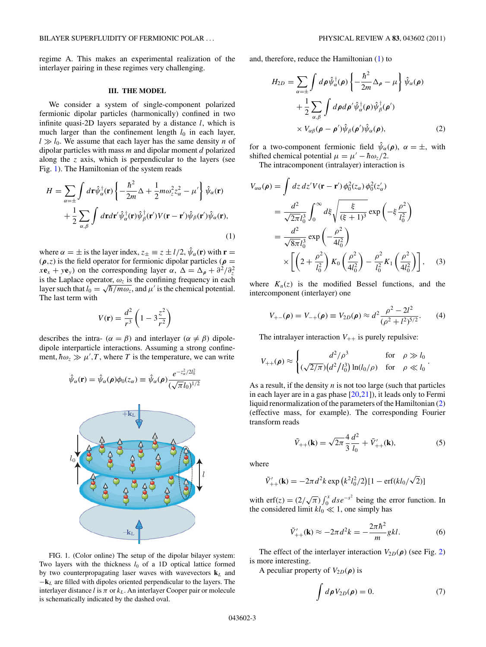<span id="page-2-0"></span>regime A. This makes an experimental realization of the interlayer pairing in these regimes very challenging.

## **III. THE MODEL**

We consider a system of single-component polarized fermionic dipolar particles (harmonically) confined in two infinite quasi-2D layers separated by a distance *l*, which is much larger than the confinement length  $l_0$  in each layer,  $l \gg l_0$ . We assume that each layer has the same density *n* of dipolar particles with mass *m* and dipolar moment *d* polarized along the *z* axis, which is perpendicular to the layers (see Fig. 1). The Hamiltonian of the system reads

$$
H = \sum_{\alpha=\pm} \int d\mathbf{r} \hat{\psi}_{\alpha}^{\dagger}(\mathbf{r}) \left\{ -\frac{\hbar^2}{2m} \Delta + \frac{1}{2} m \omega_z^2 z_{\alpha}^2 - \mu' \right\} \hat{\psi}_{\alpha}(\mathbf{r}) + \frac{1}{2} \sum_{\alpha,\beta} \int d\mathbf{r} d\mathbf{r}' \hat{\psi}_{\alpha}^{\dagger}(\mathbf{r}) \hat{\psi}_{\beta}^{\dagger}(\mathbf{r}') V(\mathbf{r} - \mathbf{r}') \hat{\psi}_{\beta}(\mathbf{r}') \hat{\psi}_{\alpha}(\mathbf{r}),
$$
\n(1)

where  $\alpha = \pm$  is the layer index,  $z_{\pm} \equiv z \pm l/2$ ,  $\hat{\psi}_{\alpha}(\mathbf{r})$  with  $\mathbf{r} =$  $(\rho, z)$  is the field operator for fermionic dipolar particles ( $\rho =$  $x\mathbf{e}_x + y\mathbf{e}_y$  on the corresponding layer *α*,  $\Delta = \Delta_\rho + \partial^2/\partial_z^2$ is the Laplace operator,  $\omega_z$  is the confining frequency in each layer such that  $l_0 = \sqrt{\hbar/m\omega_z}$ , and  $\mu'$  is the chemical potential. The last term with

$$
V(\mathbf{r}) = \frac{d^2}{r^3} \left( 1 - 3 \frac{z^2}{r^2} \right)
$$

describes the intra- ( $\alpha = \beta$ ) and interlayer ( $\alpha \neq \beta$ ) dipoledipole interparticle interactions. Assuming a strong confinement,  $\hbar \omega_z \gg \mu', T$ , where *T* is the temperature, we can write

$$
\hat{\psi}_{\alpha}(\mathbf{r}) = \hat{\psi}_{\alpha}(\boldsymbol{\rho})\phi_0(z_{\alpha}) \equiv \hat{\psi}_{\alpha}(\boldsymbol{\rho})\frac{e^{-z_{\alpha}^2/2l_0^2}}{(\sqrt{\pi}l_0)^{1/2}}
$$



FIG. 1. (Color online) The setup of the dipolar bilayer system: Two layers with the thickness  $l_0$  of a 1D optical lattice formed by two counterpropagating laser waves with wavevectors **k***<sup>L</sup>* and −**k***<sup>L</sup>* are filled with dipoles oriented perpendicular to the layers. The interlayer distance *l* is  $\pi$  or  $k_L$ . An interlayer Cooper pair or molecule is schematically indicated by the dashed oval.

and, therefore, reduce the Hamiltonian (1) to

$$
H_{2D} = \sum_{\alpha=\pm} \int d\rho \hat{\psi}_{\alpha}^{\dagger}(\rho) \left\{ -\frac{\hbar^2}{2m} \Delta_{\rho} - \mu \right\} \hat{\psi}_{\alpha}(\rho) + \frac{1}{2} \sum_{\alpha,\beta} \int d\rho d\rho' \hat{\psi}_{\alpha}^{\dagger}(\rho) \hat{\psi}_{\beta}^{\dagger}(\rho') \times V_{\alpha\beta}(\rho - \rho') \hat{\psi}_{\beta}(\rho') \hat{\psi}_{\alpha}(\rho),
$$
 (2)

for a two-component fermionic field  $\hat{\psi}_{\alpha}(\rho)$ ,  $\alpha = \pm$ , with shifted chemical potential  $\mu = \mu' - \hbar \omega_z/2$ .

The intracomponent (intralayer) interaction is

$$
V_{\alpha\alpha}(\rho) = \int dz \, dz' V(\mathbf{r} - \mathbf{r}') \phi_0^2(z_{\alpha}) \phi_0^2(z'_{\alpha})
$$
  
=  $\frac{d^2}{\sqrt{2\pi} l_0^3} \int_0^\infty d\xi \sqrt{\frac{\xi}{(\xi + 1)^3}} \exp\left(-\xi \frac{\rho^2}{l_0^2}\right)$   
=  $\frac{d^2}{\sqrt{8\pi} l_0^3} \exp\left(-\frac{\rho^2}{4l_0^2}\right)$   
 $\times \left[ \left(2 + \frac{\rho^2}{l_0^2}\right) K_0 \left(\frac{\rho^2}{4l_0^2}\right) - \frac{\rho^2}{l_0^2} K_1 \left(\frac{\rho^2}{4l_0^2}\right) \right],$  (3)

where  $K_n(z)$  is the modified Bessel functions, and the intercomponent (interlayer) one

$$
V_{+-}(\rho) = V_{-+}(\rho) \equiv V_{2D}(\rho) \approx d^2 \frac{\rho^2 - 2l^2}{(\rho^2 + l^2)^{5/2}}.
$$
 (4)

The intralayer interaction  $V_{++}$  is purely repulsive:

$$
V_{++}(\rho) \approx \begin{cases} d^2/\rho^3 & \text{for } \rho \gg l_0 \\ (\sqrt{2/\pi})(d^2/l_0^3) \ln(l_0/\rho) & \text{for } \rho \ll l_0 \end{cases}.
$$

As a result, if the density *n* is not too large (such that particles in each layer are in a gas phase [\[20,21\]](#page-20-0)), it leads only to Fermi liquid renormalization of the parameters of the Hamiltonian (2) (effective mass, for example). The corresponding Fourier transform reads

$$
\tilde{V}_{++}(\mathbf{k}) = \sqrt{2\pi} \frac{4}{3} \frac{d^2}{l_0} + \tilde{V}'_{++}(\mathbf{k}),\tag{5}
$$

where

$$
\tilde{V}'_{++}(\mathbf{k}) = -2\pi d^2 k \exp \left( k^2 l_0^2 / 2 \right) [1 - \text{erf}(kl_0/\sqrt{2})]
$$

with erf(*z*) =  $\left(2/\sqrt{\pi}\right) \int_0^x ds e^{-s^2}$  being the error function. In the considered limit  $kl_0 \ll 1$ , one simply has

$$
\tilde{V}'_{++}(\mathbf{k}) \approx -2\pi d^2 k = -\frac{2\pi\hbar^2}{m} gkl. \tag{6}
$$

The effect of the interlayer interaction  $V_{2D}(\rho)$  (see Fig. [2\)](#page-3-0) is more interesting.

A peculiar property of  $V_{2D}(\rho)$  is

$$
\int d\rho V_{2D}(\rho) = 0. \tag{7}
$$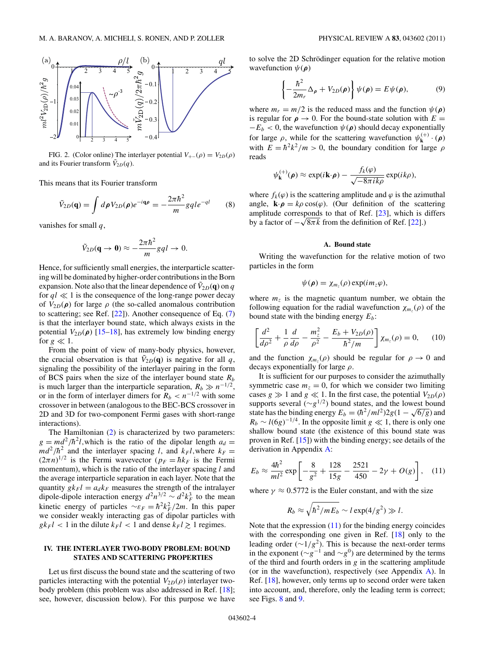<span id="page-3-0"></span>

FIG. 2. (Color online) The interlayer potential  $V_{+-}(\rho) = V_{2D}(\rho)$ and its Fourier transform  $\tilde{V}_{2D}(q)$ .

This means that its Fourier transform

$$
\tilde{V}_{2D}(\mathbf{q}) = \int d\rho V_{2D}(\rho)e^{-i\mathbf{q}\rho} = -\frac{2\pi\hbar^2}{m}gqle^{-ql} \qquad (8)
$$

vanishes for small *q*,

$$
\tilde{V}_{2D}(\mathbf{q}\to\mathbf{0})\approx-\frac{2\pi\hbar^2}{m}gql\to 0.
$$

Hence, for sufficiently small energies, the interparticle scattering will be dominated by higher-order contributions in the Born expansion. Note also that the linear dependence of  $\tilde{V}_{2D}(\mathbf{q})$  on *q* for  $ql \ll 1$  is the consequence of the long-range power decay of  $V_{2D}(\rho)$  for large  $\rho$  (the so-called anomalous contribution to scattering; see Ref. [\[22\]](#page-20-0)). Another consequence of Eq. [\(7\)](#page-2-0) is that the interlayer bound state, which always exists in the potential  $V_{2D}(\rho)$  [\[15–18\]](#page-20-0), has extremely low binding energy for  $g \ll 1$ .

From the point of view of many-body physics, however, the crucial observation is that  $\tilde{V}_{2D}(\mathbf{q})$  is negative for all q, signaling the possibility of the interlayer pairing in the form of BCS pairs when the size of the interlayer bound state *Rb* is much larger than the interparticle separation,  $R_b \gg n^{-1/2}$ , or in the form of interlayer dimers for  $R_b < n^{-1/2}$  with some crossover in between (analogous to the BEC-BCS crossover in 2D and 3D for two-component Fermi gases with short-range interactions).

The Hamiltonian [\(2\)](#page-2-0) is characterized by two parameters:  $g = md^2/\hbar^2 l$ , which is the ratio of the dipolar length  $a_d =$  $md^2/\hbar^2$  and the interlayer spacing *l*, and  $k_F l$ , where  $k_F =$  $(2\pi n)^{1/2}$  is the Fermi wavevector  $(p_F = \hbar k_F)$  is the Fermi momentum), which is the ratio of the interlayer spacing *l* and the average interparticle separation in each layer. Note that the quantity  $g k_F l = a_d k_F$  measures the strength of the intralayer dipole-dipole interaction energy  $d^2n^{3/2} \sim d^2k_F^3$  to the mean kinetic energy of particles  $\sim \varepsilon_F = \hbar^2 k_F^2 / 2m$ . In this paper we consider weakly interacting gas of dipolar particles with  $g k_F l < 1$  in the dilute  $k_F l < 1$  and dense  $k_F l \ge 1$  regimes.

## **IV. THE INTERLAYER TWO-BODY PROBLEM: BOUND STATES AND SCATTERING PROPERTIES**

Let us first discuss the bound state and the scattering of two particles interacting with the potential  $V_{2D}(\rho)$  interlayer twobody problem (this problem was also addressed in Ref. [\[18\]](#page-20-0); see, however, discussion below). For this purpose we have to solve the 2D Schrödinger equation for the relative motion wavefunction *ψ*(*ρ*)

$$
\left\{-\frac{\hbar^2}{2m_r}\Delta_{\rho} + V_{2D}(\rho)\right\}\psi(\rho) = E\psi(\rho),\tag{9}
$$

where  $m_r = m/2$  is the reduced mass and the function  $\psi(\rho)$ is regular for  $\rho \rightarrow 0$ . For the bound-state solution with  $E =$  $-E_b < 0$ , the wavefunction  $\psi(\rho)$  should decay exponentially for large  $\rho$ , while for the scattering wavefunction  $\psi_{\mathbf{k}}^{(+)} \cdot (\rho)$ with  $E = \hbar^2 k^2/m > 0$ , the boundary condition for large  $\rho$ reads

$$
\psi_{\mathbf{k}}^{(+)}(\boldsymbol{\rho}) \approx \exp(i\mathbf{k}\cdot\boldsymbol{\rho}) - \frac{f_k(\varphi)}{\sqrt{-8\pi i k\rho}} \exp(i k\rho),
$$

where  $f_k(\varphi)$  is the scattering amplitude and  $\varphi$  is the azimuthal angle,  $\mathbf{k} \cdot \boldsymbol{\rho} = k\rho \cos(\varphi)$ . (Our definition of the scattering amplitude corresponds to that of Ref. [\[23\]](#page-20-0), which is differs amplitude corresponds to that of Ref. [23], which is  $\frac{dy}{dx}$  by a factor of  $-\sqrt{8\pi k}$  from the definition of Ref. [\[22\]](#page-20-0).)

#### **A. Bound state**

Writing the wavefunction for the relative motion of two particles in the form

$$
\psi(\rho) = \chi_{m_z}(\rho) \exp(im_z\varphi),
$$

where  $m<sub>z</sub>$  is the magnetic quantum number, we obtain the following equation for the radial wavefunction  $\chi_{m_z}(\rho)$  of the bound state with the binding energy *Eb*:

$$
\left[\frac{d^2}{d\rho^2} + \frac{1}{\rho}\frac{d}{d\rho} - \frac{m_z^2}{\rho^2} - \frac{E_b + V_{2D}(\rho)}{\hbar^2/m}\right] \chi_{m_z}(\rho) = 0, \quad (10)
$$

and the function  $\chi_{m_z}(\rho)$  should be regular for  $\rho \to 0$  and decays exponentially for large *ρ*.

It is sufficient for our purposes to consider the azimuthally symmetric case  $m<sub>z</sub> = 0$ , for which we consider two limiting cases  $g \gg 1$  and  $g \ll 1$ . In the first case, the potential  $V_{2D}(\rho)$ supports several (∼*g*<sup>1/2</sup>) bound states, and the lowest bound state has the binding energy  $E_b = (\hbar^2/ml^2)2g(1 - \sqrt{6/g})$  and  $R_b \sim l(6g)^{-1/4}$ . In the opposite limit *g*  $\ll 1$ , there is only one shallow bound state (the existence of this bound state was proven in Ref. [\[15\]](#page-20-0)) with the binding energy; see details of the derivation in Appendix [A:](#page-13-0)

$$
E_b \approx \frac{4\hbar^2}{ml^2} \exp\left[-\frac{8}{g^2} + \frac{128}{15g} - \frac{2521}{450} - 2\gamma + O(g)\right], \quad (11)
$$

where  $\gamma \approx 0.5772$  is the Euler constant, and with the size

$$
R_b \approx \sqrt{\hbar^2/mE_b} \sim l \exp(4/g^2) \gg l.
$$

Note that the expression  $(11)$  for the binding energy coincides with the corresponding one given in Ref. [\[18\]](#page-20-0) only to the leading order ( $\sim 1/g^2$ ). This is because the next-order terms in the exponent ( $\sim$ *g*<sup>−1</sup> and  $\sim$ *g*<sup>0</sup>) are determined by the terms of the third and fourth orders in *g* in the scattering amplitude (or in the wavefunction), respectively (see Appendix [A\)](#page-13-0). ln Ref. [\[18\]](#page-20-0), however, only terms up to second order were taken into account, and, therefore, only the leading term is correct; see Figs. [8](#page-15-0) and [9.](#page-15-0)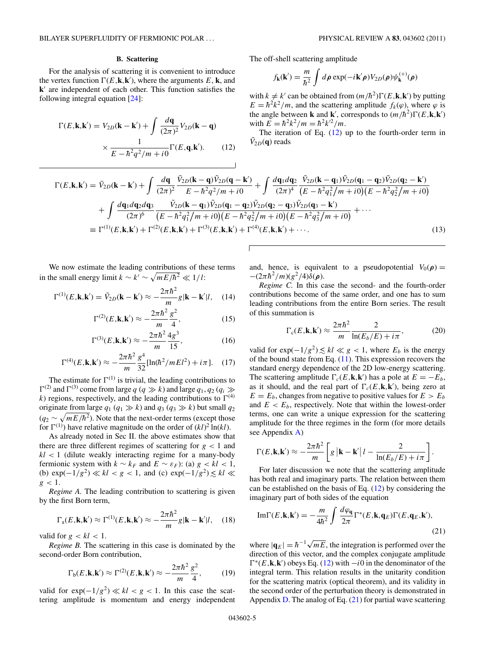#### **B. Scattering**

<span id="page-4-0"></span>For the analysis of scattering it is convenient to introduce the vertex function  $\Gamma(E, \mathbf{k}, \mathbf{k}')$ , where the arguments  $E$ , **k**, and **k** are independent of each other. This function satisfies the following integral equation [\[24\]](#page-20-0):

$$
\Gamma(E, \mathbf{k}, \mathbf{k}') = V_{2D}(\mathbf{k} - \mathbf{k}') + \int \frac{d\mathbf{q}}{(2\pi)^2} V_{2D}(\mathbf{k} - \mathbf{q})
$$

$$
\times \frac{1}{E - \hbar^2 q^2 / m + i0} \Gamma(E, \mathbf{q}, \mathbf{k}'). \tag{12}
$$

The off-shell scattering amplitude

$$
f_{\mathbf{k}}(\mathbf{k}') = \frac{m}{\hbar^2} \int d\rho \exp(-i\mathbf{k}'\rho) V_{2D}(\rho) \psi_{\mathbf{k}}^{(+)}(\rho)
$$

with  $k \neq k'$  can be obtained from  $(m/\hbar^2)\Gamma(E,\mathbf{k},\mathbf{k}')$  by putting  $E = \hbar^2 k^2/m$ , and the scattering amplitude  $f_k(\varphi)$ , where  $\varphi$  is the angle between **k** and **k**<sup>'</sup>, corresponds to  $(m/h^2)\Gamma(E, \mathbf{k}, \mathbf{k}')$ with  $E = \hbar^2 k^2 / m = \hbar^2 k'^2 / m$ .

The iteration of Eq.  $(12)$  up to the fourth-order term in  $\tilde{V}_{2D}(\mathbf{q})$  reads

$$
\Gamma(E, \mathbf{k}, \mathbf{k}') = \tilde{V}_{2D}(\mathbf{k} - \mathbf{k}') + \int \frac{d\mathbf{q}}{(2\pi)^2} \frac{\tilde{V}_{2D}(\mathbf{k} - \mathbf{q})\tilde{V}_{2D}(\mathbf{q} - \mathbf{k}')}{E - \hbar^2 q^2/m + i0} + \int \frac{d\mathbf{q}_1 d\mathbf{q}_2}{(2\pi)^4} \frac{\tilde{V}_{2D}(\mathbf{k} - \mathbf{q}_1)\tilde{V}_{2D}(\mathbf{q}_1 - \mathbf{q}_2)\tilde{V}_{2D}(\mathbf{q}_2 - \mathbf{k}')}{(E - \hbar^2 q_1^2/m + i0)(E - \hbar^2 q_2^2/m + i0)}
$$

$$
+ \int \frac{d\mathbf{q}_1 d\mathbf{q}_2 d\mathbf{q}_3}{(2\pi)^6} \frac{\tilde{V}_{2D}(\mathbf{k} - \mathbf{q}_1)\tilde{V}_{2D}(\mathbf{q}_1 - \mathbf{q}_2)\tilde{V}_{2D}(\mathbf{q}_2 - \mathbf{q}_3)\tilde{V}_{2D}(\mathbf{q}_3 - \mathbf{k}')}{(E - \hbar^2 q_1^2/m + i0)(E - \hbar^2 q_2^2/m + i0)(E - \hbar^2 q_3^2/m + i0)} + \cdots
$$

$$
\equiv \Gamma^{(1)}(E, \mathbf{k}, \mathbf{k}') + \Gamma^{(2)}(E, \mathbf{k}, \mathbf{k}') + \Gamma^{(3)}(E, \mathbf{k}, \mathbf{k}') + \Gamma^{(4)}(E, \mathbf{k}, \mathbf{k}') + \cdots.
$$
(13)

We now estimate the leading contributions of these terms in the small energy limit  $k \sim k' \sim \sqrt{mE/\hbar^2} \ll 1/l$ :

$$
\Gamma^{(1)}(E, \mathbf{k}, \mathbf{k}') = \tilde{V}_{2D}(\mathbf{k} - \mathbf{k}') \approx -\frac{2\pi\hbar^2}{m} g|\mathbf{k} - \mathbf{k}'|l, \quad (14)
$$

$$
\Gamma^{(2)}(E, \mathbf{k}, \mathbf{k}') \approx -\frac{2\pi\hbar^2}{m} \frac{g^2}{4},\tag{15}
$$

$$
\Gamma^{(3)}(E, \mathbf{k}, \mathbf{k}') \approx -\frac{2\pi\hbar^2}{m} \frac{4g^3}{15},\tag{16}
$$

$$
\Gamma^{(4)}(E, \mathbf{k}, \mathbf{k}') \approx -\frac{2\pi\hbar^2}{m} \frac{g^4}{32} [\ln(\hbar^2/mEl^2) + i\pi]. \quad (17)
$$

The estimate for  $\Gamma^{(1)}$  is trivial, the leading contributions to  $\Gamma^{(2)}$  and  $\Gamma^{(3)}$  come from large *q* (*q*  $\gg k$ ) and large *q*<sub>1</sub>, *q*<sub>2</sub> (*q<sub>i</sub>*  $\gg$ *k*) regions, respectively, and the leading contributions to  $\Gamma^{(4)}$ originate from large  $q_1$  ( $q_1 \gg k$ ) and  $q_3$  ( $q_3 \gg k$ ) but small  $q_2$  $(q_2 \sim \sqrt{mE/\hbar^2})$ . Note that the next-order terms (except those for  $\Gamma^{(1)}$ ) have relative magnitude on the order of  $(kl)^2 \ln(kl)$ .

As already noted in Sec II. the above estimates show that there are three different regimes of scattering for *g <* 1 and  $kl < 1$  (dilute weakly interacting regime for a many-body fermionic system with  $k \sim k_F$  and  $E \sim \varepsilon_F$ ): (a)  $g \lt k l \lt 1$ , (b)  $\exp(-1/g^2) \ll kl < g < 1$ , and (c)  $\exp(-1/g^2) \lesssim kl$  ≪  $g < 1$ .

*Regime A.* The leading contribution to scattering is given by the first Born term,

$$
\Gamma_{\mathbf{a}}(E, \mathbf{k}, \mathbf{k}') \approx \Gamma^{(1)}(E, \mathbf{k}, \mathbf{k}') \approx -\frac{2\pi\hbar^2}{m} g|\mathbf{k} - \mathbf{k}'|l, \quad (18)
$$

valid for  $g \lt k l \lt 1$ .

*Regime B.* The scattering in this case is dominated by the second-order Born contribution,

$$
\Gamma_{\mathsf{b}}(E,\mathbf{k},\mathbf{k}') \approx \Gamma^{(2)}(E,\mathbf{k},\mathbf{k}') \approx -\frac{2\pi\hbar^2}{m}\frac{g^2}{4},\tag{19}
$$

valid for  $\exp(-1/g^2) \ll kl < g < 1$ . In this case the scattering amplitude is momentum and energy independent and, hence, is equivalent to a pseudopotential  $V_0(\rho)$  =  $-(2\pi\hbar^2/m)(g^2/4)\delta(\rho).$ 

*Regime C.* In this case the second- and the fourth-order contributions become of the same order, and one has to sum leading contributions from the entire Born series. The result of this summation is

$$
\Gamma_{\rm c}(E, \mathbf{k}, \mathbf{k}') \approx \frac{2\pi\hbar^2}{m} \frac{2}{\ln(E_b/E) + i\pi},\tag{20}
$$

valid for  $\exp(-1/g^2) \lesssim kl \ll g < 1$ , where  $E_b$  is the energy of the bound state from Eq.  $(11)$ . This expression recovers the standard energy dependence of the 2D low-energy scattering. The scattering amplitude  $\Gamma_c(E, \mathbf{k}, \mathbf{k}')$  has a pole at  $E = -E_b$ , as it should, and the real part of  $\Gamma_c(E, \mathbf{k}, \mathbf{k}')$ , being zero at  $E = E_b$ , changes from negative to positive values for  $E > E_b$ and  $E < E_b$ , respectively. Note that within the lowest-order terms, one can write a unique expression for the scattering amplitude for the three regimes in the form (for more details see Appendix [A\)](#page-13-0)

$$
\Gamma(E, \mathbf{k}, \mathbf{k}') \approx -\frac{2\pi\hbar^2}{m} \left[ g \left| \mathbf{k} - \mathbf{k}' \right| l - \frac{2}{\ln(E_b/E) + i\pi} \right].
$$

For later discussion we note that the scattering amplitude has both real and imaginary parts. The relation between them can be established on the basis of Eq.  $(12)$  by considering the imaginary part of both sides of the equation

$$
\mathrm{Im}\Gamma(E,\mathbf{k},\mathbf{k}') = -\frac{m}{4\hbar^2} \int \frac{d\varphi_\mathbf{q}}{2\pi} \Gamma^*(E,\mathbf{k},\mathbf{q}_E) \Gamma(E,\mathbf{q}_E,\mathbf{k}'),\tag{21}
$$

where  $|\mathbf{q}_E| = \hbar^{-1} \sqrt{mE}$ , the integration is performed over the direction of this vector, and the complex conjugate amplitude  $\Gamma^*(E, \mathbf{k}, \mathbf{k}')$  obeys Eq. (12) with  $-i0$  in the denominator of the integral term. This relation results in the unitarity condition for the scattering matrix (optical theorem), and its validity in the second order of the perturbation theory is demonstrated in Appendix  $D$ . The analog of Eq. (21) for partial wave scattering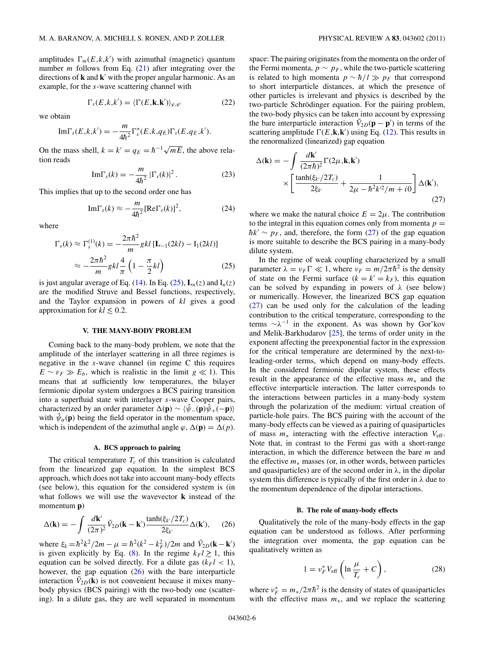<span id="page-5-0"></span>amplitudes  $\Gamma_m(E, k, k')$  with azimuthal (magnetic) quantum number *m* follows from Eq. [\(21\)](#page-4-0) after integrating over the directions of **k** and **k**' with the proper angular harmonic. As an example, for the *s*-wave scattering channel with

$$
\Gamma_{s}(E,k,k') = \langle \Gamma(E,\mathbf{k},\mathbf{k}') \rangle_{\varphi,\varphi'}
$$
 (22)

we obtain

$$
\mathrm{Im}\Gamma_{s}(E,k,k')=-\frac{m}{4\hbar^{2}}\Gamma_{s}^{*}(E,k,q_{E})\Gamma_{s}(E,q_{E},k').
$$

On the mass shell,  $k = k' = q_E = \hbar^{-1} \sqrt{mE}$ , the above relation reads

$$
\mathrm{Im}\Gamma_{s}(k)=-\frac{m}{4\hbar^{2}}\left|\Gamma_{s}(k)\right|^{2}.
$$
 (23)

This implies that up to the second order one has

$$
\mathrm{Im}\Gamma_{s}(k) \approx -\frac{m}{4\hbar^{2}}[\mathrm{Re}\Gamma_{s}(k)]^{2}, \tag{24}
$$

where

$$
\Gamma_s(k) \approx \Gamma_s^{(1)}(k) = -\frac{2\pi\hbar^2}{m} gkl \left[ \mathbf{L}_{-1}(2kl) - \mathbf{I}_1(2kl) \right]
$$

$$
\approx -\frac{2\pi\hbar^2}{m} gkl \frac{4}{\pi} \left( 1 - \frac{\pi}{2}kl \right) \tag{25}
$$

is just angular average of Eq. [\(14\)](#page-4-0). In Eq. (25),  $\mathbf{L}_n(z)$  and  $\mathbf{I}_n(z)$ are the modified Struve and Bessel functions, respectively, and the Taylor expansion in powers of *kl* gives a good approximation for  $kl \lesssim 0.2$ .

#### **V. THE MANY-BODY PROBLEM**

Coming back to the many-body problem, we note that the amplitude of the interlayer scattering in all three regimes is negative in the *s*-wave channel (in regime C this requires  $E \sim \varepsilon_F \gg E_b$ , which is realistic in the limit *g*  $\ll$  1). This means that at sufficiently low temperatures, the bilayer fermionic dipolar system undergoes a BCS pairing transition into a superfluid state with interlayer *s*-wave Cooper pairs, characterized by an order parameter  $\Delta(\mathbf{p}) \sim \langle \hat{\psi}_{-}(\mathbf{p})\hat{\psi}_{+}(-\mathbf{p})\rangle$ with  $\hat{\psi}_{\alpha}(\mathbf{p})$  being the field operator in the momentum space, which is independent of the azimuthal angle  $\varphi$ ,  $\Delta(\mathbf{p}) = \Delta(p)$ .

#### **A. BCS approach to pairing**

The critical temperature  $T_c$  of this transition is calculated from the linearized gap equation. In the simplest BCS approach, which does not take into account many-body effects (see below), this equation for the considered system is (in what follows we will use the wavevector **k** instead of the momentum **p**)

$$
\Delta(\mathbf{k}) = -\int \frac{d\mathbf{k}'}{(2\pi)^2} \tilde{V}_{2D}(\mathbf{k} - \mathbf{k}') \frac{\tanh(\xi_{k'}/2T_c)}{2\xi_{k'}} \Delta(\mathbf{k}'), \quad (26)
$$

 $\text{where } \xi_k = \hbar^2 k^2 / 2m - \mu = \hbar^2 (k^2 - k_F^2) / 2m \text{ and } \tilde{V}_{2D}(\mathbf{k} - \mathbf{k}')$ is given explicitly by Eq. [\(8\)](#page-3-0). In the regime  $k_F l \ge 1$ , this equation can be solved directly. For a dilute gas  $(k_F l < 1)$ , however, the gap equation  $(26)$  with the bare interparticle interaction  $\tilde{V}_{2D}(\mathbf{k})$  is not convenient because it mixes manybody physics (BCS pairing) with the two-body one (scattering). In a dilute gas, they are well separated in momentum space: The pairing originates from the momenta on the order of the Fermi momenta,  $p \sim p_F$ , while the two-particle scattering is related to high momenta  $p \sim \hbar/l \gg p_F$  that correspond to short interparticle distances, at which the presence of other particles is irrelevant and physics is described by the two-particle Schrödinger equation. For the pairing problem, the two-body physics can be taken into account by expressing the bare interparticle interaction  $\tilde{V}_{2D}(\mathbf{p} - \mathbf{p}')$  in terms of the scattering amplitude  $\Gamma(E, \mathbf{k}, \mathbf{k}')$  using Eq. [\(12\)](#page-4-0). This results in the renormalized (linearized) gap equation

$$
\Delta(\mathbf{k}) = -\int \frac{d\mathbf{k}'}{(2\pi\hbar)^2} \Gamma(2\mu, \mathbf{k}, \mathbf{k}')
$$

$$
\times \left[ \frac{\tanh(\xi_{k'}/2T_c)}{2\xi_{k'}} + \frac{1}{2\mu - \hbar^2 k'^2 / m + i0} \right] \Delta(\mathbf{k}'), \tag{27}
$$

where we make the natural choice  $E = 2\mu$ . The contribution to the integral in this equation comes only from momenta  $p =$  $\hbar k' \sim p_F$ , and, therefore, the form (27) of the gap equation is more suitable to describe the BCS pairing in a many-body dilute system.

In the regime of weak coupling characterized by a small parameter  $\lambda = v_F \Gamma \ll 1$ , where  $v_F = m/2\pi\hbar^2$  is the density of state on the Fermi surface  $(k = k' = k_F)$ , this equation can be solved by expanding in powers of  $\lambda$  (see below) or numerically. However, the linearized BCS gap equation (27) can be used only for the calculation of the leading contribution to the critical temperature, corresponding to the terms  $\sim \lambda^{-1}$  in the exponent. As was shown by Gor'kov and Melik-Barkhudarov [\[25\]](#page-20-0), the terms of order unity in the exponent affecting the preexponential factor in the expression for the critical temperature are determined by the next-toleading-order terms, which depend on many-body effects. In the considered fermionic dipolar system, these effects result in the appearance of the effective mass *m*<sup>∗</sup> and the effective interparticle interaction. The latter corresponds to the interactions between particles in a many-body system through the polarization of the medium: virtual creation of particle-hole pairs. The BCS pairing with the account of the many-body effects can be viewed as a pairing of quasiparticles of mass *m*<sup>∗</sup> interacting with the effective interaction *V*eff. Note that, in contrast to the Fermi gas with a short-range interaction, in which the difference between the bare *m* and the effective *m*<sup>∗</sup> masses (or, in other words, between particles and quasiparticles) are of the second order in *λ*, in the dipolar system this difference is typically of the first order in *λ* due to the momentum dependence of the dipolar interactions.

#### **B. The role of many-body effects**

Qualitatively the role of the many-body effects in the gap equation can be understood as follows. After performing the integration over momenta, the gap equation can be qualitatively written as

$$
1 = \nu_F^* V_{\text{eff}} \left( \ln \frac{\mu}{T_c} + C \right), \tag{28}
$$

where  $v_F^* = m_*/2\pi\hbar^2$  is the density of states of quasiparticles with the effective mass *m*∗, and we replace the scattering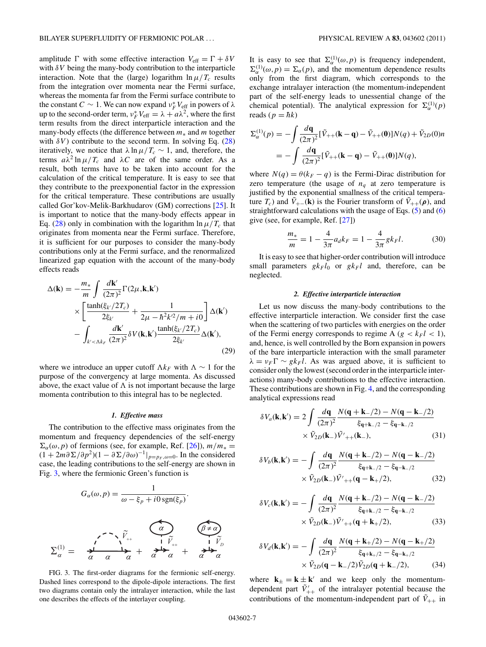<span id="page-6-0"></span>amplitude  $\Gamma$  with some effective interaction  $V_{\text{eff}} = \Gamma + \delta V$ with *δV* being the many-body contribution to the interparticle interaction. Note that the (large) logarithm  $\ln \mu/T_c$  results from the integration over momenta near the Fermi surface, whereas the momenta far from the Fermi surface contribute to the constant  $C \sim 1$ . We can now expand  $v_F^* V_{\text{eff}}$  in powers of  $\lambda$ up to the second-order term,  $v_F^* V_{\text{eff}} = \lambda + a\lambda^2$ , where the first term results from the direct interparticle interaction and the many-body effects (the difference between *m*<sup>∗</sup> and *m* together with  $\delta V$ ) contribute to the second term. In solving Eq.  $(28)$ iteratively, we notice that  $\lambda \ln \mu / T_c \sim 1$ , and, therefore, the terms  $a\lambda^2 \ln \mu / T_c$  and  $\lambda C$  are of the same order. As a result, both terms have to be taken into account for the calculation of the critical temperature. It is easy to see that they contribute to the preexponential factor in the expression for the critical temperature. These contributions are usually called Gor'kov-Melik-Barkhudarov (GM) corrections [\[25\]](#page-20-0). It is important to notice that the many-body effects appear in Eq. [\(28\)](#page-5-0) only in combination with the logarithm  $\ln \mu/T_c$  that originates from momenta near the Fermi surface. Therefore, it is sufficient for our purposes to consider the many-body contributions only at the Fermi surface, and the renormalized linearized gap equation with the account of the many-body effects reads

$$
\Delta(\mathbf{k}) = -\frac{m_*}{m} \int \frac{d\mathbf{k}'}{(2\pi)^2} \Gamma(2\mu, \mathbf{k}, \mathbf{k}')
$$
  
 
$$
\times \left[ \frac{\tanh(\xi_{k'}/2T_c)}{2\xi_{k'}} + \frac{1}{2\mu - \hbar^2 k'^2 / m + i0} \right] \Delta(\mathbf{k}')
$$
  
- 
$$
\int_{k' < \Lambda k_F} \frac{d\mathbf{k}'}{(2\pi)^2} \delta V(\mathbf{k}, \mathbf{k}') \frac{\tanh(\xi_{k'}/2T_c)}{2\xi_{k'}} \Delta(\mathbf{k}'),
$$
(29)

where we introduce an upper cutoff  $\Lambda k_F$  with  $\Lambda \sim 1$  for the purpose of the convergency at large momenta. As discussed above, the exact value of  $\Lambda$  is not important because the large momenta contribution to this integral has to be neglected.

#### *1. Effective mass*

The contribution to the effective mass originates from the momentum and frequency dependencies of the self-energy  $\Sigma_{\alpha}(\omega, p)$  of fermions (see, for example, Ref. [\[26\]](#page-20-0)),  $m/m_* =$  $(1 + 2m\partial\Sigma/\partial p^2)(1 - \partial\Sigma/\partial \omega)^{-1}|_{p=p_F,\omega=0}$ . In the considered case, the leading contributions to the self-energy are shown in Fig. 3, where the fermionic Green's function is

$$
G_{\alpha}(\omega, p) = \frac{1}{\omega - \xi_p + i0 \operatorname{sgn}(\xi_p)}.
$$

$$
\Sigma_{\alpha}^{(1)} = \begin{array}{ccc} \overbrace{\alpha} & \overbrace{\alpha} & \overbrace{\alpha} \\ \overbrace{\alpha} & \overbrace{\alpha} & \overbrace{\alpha} & \overbrace{\alpha} \\ \overbrace{\alpha} & \overbrace{\alpha} & \overbrace{\alpha} & \overbrace{\alpha} + \overbrace{\alpha} & \overbrace{\alpha} & \overbrace{\alpha} \\ \end{array}
$$

FIG. 3. The first-order diagrams for the fermionic self-energy. Dashed lines correspond to the dipole-dipole interactions. The first two diagrams contain only the intralayer interaction, while the last one describes the effects of the interlayer coupling.

It is easy to see that  $\Sigma_{\alpha}^{(1)}(\omega, p)$  is frequency independent,  $\Sigma_{\alpha}^{(1)}(\omega, p) = \Sigma_{\alpha}(p)$ , and the momentum dependence results only from the first diagram, which corresponds to the exchange intralayer interaction (the momentum-independent part of the self-energy leads to unessential change of the chemical potential). The analytical expression for  $\Sigma_{\alpha}^{(1)}(p)$ reads ( $p = \hbar k$ )

$$
\Sigma_{\alpha}^{(1)}(p) = -\int \frac{d\mathbf{q}}{(2\pi)^2} [\tilde{V}_{++}(\mathbf{k} - \mathbf{q}) - \tilde{V}_{++}(\mathbf{0})] N(q) + \tilde{V}_{2D}(0)n
$$
  
= 
$$
- \int \frac{d\mathbf{q}}{(2\pi)^2} [\tilde{V}_{++}(\mathbf{k} - \mathbf{q}) - \tilde{V}_{++}(\mathbf{0})] N(q),
$$

where  $N(q) = \theta(k_F - q)$  is the Fermi-Dirac distribution for zero temperature (the usage of  $n_q$  at zero temperature is justified by the exponential smallness of the critical temperature  $T_c$ ) and  $\tilde{V}_{+-}(\mathbf{k})$  is the Fourier transform of  $\tilde{V}_{++}(\rho)$ , and straightforward calculations with the usage of Eqs.  $(5)$  and  $(6)$ give (see, for example, Ref. [\[27\]](#page-20-0))

$$
\frac{m_*}{m} = 1 - \frac{4}{3\pi} a_d k_F = 1 - \frac{4}{3\pi} g k_F l.
$$
 (30)

It is easy to see that higher-order contribution will introduce small parameters  $g k_F l_0$  or  $g k_F l$  and, therefore, can be neglected.

#### *2. Effective interparticle interaction*

Let us now discuss the many-body contributions to the effective interparticle interaction. We consider first the case when the scattering of two particles with energies on the order of the Fermi energy corresponds to regime A  $(g < k_F l < 1)$ , and, hence, is well controlled by the Born expansion in powers of the bare interparticle interaction with the small parameter  $\lambda = v_F \Gamma \sim g k_F l$ . As was argued above, it is sufficient to consider only the lowest (second order in the interparticle interactions) many-body contributions to the effective interaction. These contributions are shown in Fig. [4,](#page-7-0) and the corresponding analytical expressions read

$$
\delta V_a(\mathbf{k}, \mathbf{k}') = 2 \int \frac{d\mathbf{q}}{(2\pi)^2} \frac{N(\mathbf{q} + \mathbf{k} - / 2) - N(\mathbf{q} - \mathbf{k} - / 2)}{\xi_{\mathbf{q} + \mathbf{k} - / 2} - \xi_{\mathbf{q} - \mathbf{k} - / 2}} \times \tilde{V}_{2D}(\mathbf{k} -) \tilde{V}'_{1+1}(\mathbf{k} -),
$$
\n(31)

$$
\delta V_b(\mathbf{k}, \mathbf{k}') = -\int \frac{d\mathbf{q}}{(2\pi)^2} \frac{N(\mathbf{q} + \mathbf{k}_{-}/2) - N(\mathbf{q} - \mathbf{k}_{-}/2)}{\xi_{\mathbf{q} + \mathbf{k}_{-}/2} - \xi_{\mathbf{q} - \mathbf{k}_{-}/2}} \times \tilde{V}_{2D}(\mathbf{k}_{-}) \tilde{V}'_{++}(\mathbf{q} - \mathbf{k}_{+}/2),
$$
 (32)

$$
\delta V_c(\mathbf{k}, \mathbf{k}') = -\int \frac{d\mathbf{q}}{(2\pi)^2} \frac{N(\mathbf{q} + \mathbf{k}_{-}/2) - N(\mathbf{q} - \mathbf{k}_{-}/2)}{\xi_{\mathbf{q} + \mathbf{k}_{-}/2} - \xi_{\mathbf{q} - \mathbf{k}_{-}/2}} \times \tilde{V}_{2D}(\mathbf{k}_{-}) \tilde{V}'_{++}(\mathbf{q} + \mathbf{k}_{+}/2),
$$
 (33)

$$
\delta V_d(\mathbf{k}, \mathbf{k}') = -\int \frac{d\mathbf{q}}{(2\pi)^2} \frac{N(\mathbf{q} + \mathbf{k}_+/2) - N(\mathbf{q} - \mathbf{k}_+/2)}{\xi_{\mathbf{q} + \mathbf{k}_+/2} - \xi_{\mathbf{q} - \mathbf{k}_+/2}} \times \tilde{V}_{2D}(\mathbf{q} - \mathbf{k}_-/2) \tilde{V}_{2D}(\mathbf{q} + \mathbf{k}_-/2), \tag{34}
$$

where  $\mathbf{k}_{\pm} = \mathbf{k} \pm \mathbf{k}'$  and we keep only the momentumdependent part  $\tilde{V}^{\prime}_{++}$  of the intralayer potential because the contributions of the momentum-independent part of  $\tilde{V}_{++}$  in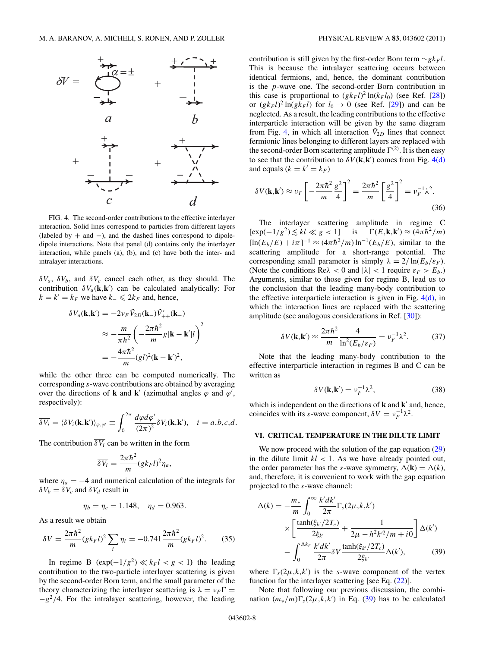<span id="page-7-0"></span>

FIG. 4. The second-order contributions to the effective interlayer interaction. Solid lines correspond to particles from different layers (labeled by  $+$  and  $-$ ), and the dashed lines correspond to dipoledipole interactions. Note that panel (d) contains only the interlayer interaction, while panels (a), (b), and (c) have both the inter- and intralayer interactions.

 $\delta V_a$ ,  $\delta V_b$ , and  $\delta V_c$  cancel each other, as they should. The contribution  $\delta V_a(\mathbf{k}, \mathbf{k}')$  can be calculated analytically: For *k* =  $k'$  =  $k_F$  we have  $k_−$  ≤ 2 $k_F$  and, hence,

$$
\delta V_a(\mathbf{k}, \mathbf{k}') = -2v_F \tilde{V}_{2D}(\mathbf{k}_-) \tilde{V}'_{++}(\mathbf{k}_-)
$$
  

$$
\approx -\frac{m}{\pi \hbar^2} \left( -\frac{2\pi \hbar^2}{m} g |\mathbf{k} - \mathbf{k}'| l \right)^2
$$
  

$$
= -\frac{4\pi \hbar^2}{m} (gl)^2 (\mathbf{k} - \mathbf{k}')^2,
$$

while the other three can be computed numerically. The corresponding *s*-wave contributions are obtained by averaging over the directions of **k** and **k**<sup> $\prime$ </sup> (azimuthal angles  $\varphi$  and  $\varphi'$ , respectively):

$$
\overline{\delta V_i} = \langle \delta V_i(\mathbf{k}, \mathbf{k}') \rangle_{\varphi, \varphi'} \equiv \int_0^{2\pi} \frac{d\varphi d\varphi'}{(2\pi)^2} \delta V_i(\mathbf{k}, \mathbf{k}'), \quad i = a, b, c, d.
$$

The contribution  $\overline{\delta V_i}$  can be written in the form

$$
\overline{\delta V_i} = \frac{2\pi\hbar^2}{m}(gk_F l)^2 \eta_a,
$$

where  $\eta_a = -4$  and numerical calculation of the integrals for  $\delta V_b = \delta V_c$  and  $\delta V_d$  result in

$$
\eta_b = \eta_c = 1.148, \quad \eta_d = 0.963.
$$

As a result we obtain

$$
\overline{\delta V} = \frac{2\pi\hbar^2}{m}(gk_F l)^2 \sum_i \eta_i = -0.741 \frac{2\pi\hbar^2}{m}(gk_F l)^2. \tag{35}
$$

In regime B  $(exp(-1/g^2) \ll k_F l < g < 1)$  the leading contribution to the two-particle interlayer scattering is given by the second-order Born term, and the small parameter of the theory characterizing the interlayer scattering is  $\lambda = v_F \Gamma$  = −*g*<sup>2</sup>*/*4. For the intralayer scattering, however, the leading

contribution is still given by the first-order Born term  $\sim g k_F l$ . This is because the intralayer scattering occurs between identical fermions, and, hence, the dominant contribution is the *p*-wave one. The second-order Born contribution in this case is proportional to  $(gk_F l)^2 \ln(k_F l_0)$  (see Ref. [\[28\]](#page-20-0)) or  $(gk_F l)^2 \ln(gk_F l)$  for  $l_0 \to 0$  (see Ref. [\[29\]](#page-20-0)) and can be neglected. As a result, the leading contributions to the effective interparticle interaction will be given by the same diagram from Fig. 4, in which all interaction  $\tilde{V}_{2D}$  lines that connect fermionic lines belonging to different layers are replaced with the second-order Born scattering amplitude  $\Gamma^{(2)}$ . It is then easy to see that the contribution to  $\delta V(\mathbf{k}, \mathbf{k}')$  comes from Fig. 4(d) and equals  $(k = k' = k_F)$ 

$$
\delta V(\mathbf{k}, \mathbf{k}') \approx \nu_F \left[ -\frac{2\pi \hbar^2}{m} \frac{g^2}{4} \right]^2 = \frac{2\pi \hbar^2}{m} \left[ \frac{g^2}{4} \right]^2 = \nu_F^{-1} \lambda^2.
$$
\n(36)

The interlayer scattering amplitude in regime C  $[\exp(-1/g^2)] \le kl \ll g < 1$ ] is  $\Gamma(E, \mathbf{k}, \mathbf{k}') \approx (4\pi\hbar^2/m)$  $[\ln(E_b/E) + i\pi]^{-1} \approx (4\pi\hbar^2/m)\ln^{-1}(E_b/E)$ , similar to the scattering amplitude for a short-range potential. The corresponding small parameter is simply  $\lambda = 2/\ln(E_b/\varepsilon_F)$ . (Note the conditions  $\text{Re}\lambda < 0$  and  $|\lambda| < 1$  require  $\varepsilon_F > E_b$ .) Arguments, similar to those given for regime B, lead us to the conclusion that the leading many-body contribution to the effective interparticle interaction is given in Fig.  $4(d)$ , in which the interaction lines are replaced with the scattering amplitude (see analogous considerations in Ref. [\[30\]](#page-20-0)):

$$
\delta V(\mathbf{k}, \mathbf{k}') \approx \frac{2\pi\hbar^2}{m} \frac{4}{\ln^2(E_b/\varepsilon_F)} = \nu_F^{-1} \lambda^2. \tag{37}
$$

Note that the leading many-body contribution to the effective interparticle interaction in regimes B and C can be written as

$$
\delta V(\mathbf{k}, \mathbf{k}') = \nu_F^{-1} \lambda^2,\tag{38}
$$

which is independent on the directions of  $\bf{k}$  and  $\bf{k}'$  and, hence, coincides with its *s*-wave component,  $\delta \overline{V} = v_F^{-1} \lambda^2$ .

## **VI. CRITICAL TEMPERATURE IN THE DILUTE LIMIT**

We now proceed with the solution of the gap equation [\(29\)](#page-6-0) in the dilute limit *kl <* 1. As we have already pointed out, the order parameter has the *s*-wave symmetry,  $\Delta(\mathbf{k}) = \Delta(k)$ , and, therefore, it is convenient to work with the gap equation projected to the *s*-wave channel:

$$
\Delta(k) = -\frac{m_*}{m} \int_0^\infty \frac{k'dk'}{2\pi} \Gamma_s(2\mu, k, k')\n\times \left[\frac{\tanh(\xi_{k'}/2T_c)}{2\xi_{k'}} + \frac{1}{2\mu - \hbar^2 k'^2/m + i0}\right] \Delta(k')\n-\int_0^{\Delta k_F} \frac{k'dk'}{2\pi} \overline{\delta V} \frac{\tanh(\xi_{k'}/2T_c)}{2\xi_{k'}} \Delta(k'),\n\tag{39}
$$

where  $\Gamma_s(2\mu, k, k')$  is the *s*-wave component of the vertex function for the interlayer scattering [see Eq. [\(22\)](#page-5-0)].

Note that following our previous discussion, the combination  $(m_*/m)\Gamma_s(2\mu,k,k')$  in Eq. (39) has to be calculated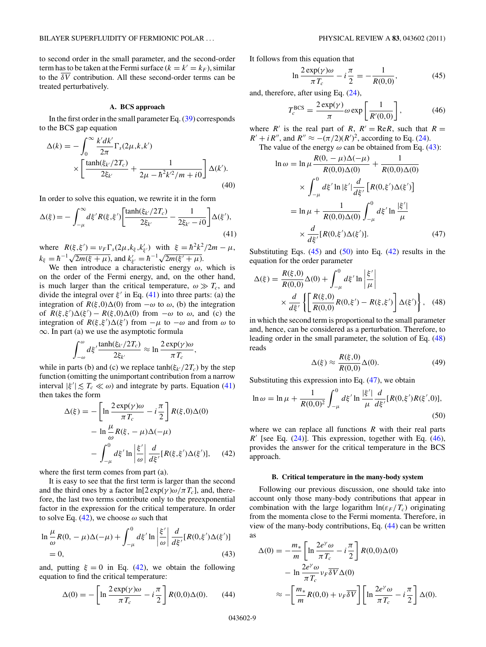<span id="page-8-0"></span>to second order in the small parameter, and the second-order term has to be taken at the Fermi surface  $(k = k' = k_F)$ , similar to the *δV* contribution. All these second-order terms can be treated perturbatively.

## **A. BCS approach**

In the first order in the small parameter Eq. [\(39\)](#page-7-0) corresponds to the BCS gap equation

$$
\Delta(k) = -\int_0^\infty \frac{k'dk'}{2\pi} \Gamma_s(2\mu, k, k') \times \left[ \frac{\tanh(\xi_{k'}/2T_c)}{2\xi_{k'}} + \frac{1}{2\mu - \hbar^2 k'^2 / m + i0} \right] \Delta(k').
$$
\n(40)

In order to solve this equation, we rewrite it in the form

$$
\Delta(\xi) = -\int_{-\mu}^{\infty} d\xi' R(\xi, \xi') \left[ \frac{\tanh(\xi_{k'}/2T_c)}{2\xi_{k'}} - \frac{1}{2\xi_{k'} - i0} \right] \Delta(\xi'),\tag{41}
$$

where  $R(\xi, \xi') = v_F \Gamma_s(2\mu, k_\xi, k'_\xi)$  with  $\xi = \hbar^2 k^2 / 2m - \mu$ , *k*<sub>ξ</sub> =  $h^{-1}\sqrt{2m(\xi + \mu)}$ , and  $k'_{\xi'} = h^{-1}\sqrt{2m(\xi' + \mu)}$ .

We then introduce a characteristic energy  $\omega$ , which is on the order of the Fermi energy, and, on the other hand, is much larger than the critical temperature,  $\omega \gg T_c$ , and divide the integral over  $\xi'$  in Eq. (41) into three parts: (a) the integration of  $R(\xi,0)\Delta(0)$  from  $-\omega$  to  $\omega$ , (b) the integration of  $R(\xi, \xi')\Delta(\xi') - R(\xi, 0)\Delta(0)$  from  $-\omega$  to  $\omega$ , and (c) the integration of  $R(\xi, \xi')\Delta(\xi')$  from  $-\mu$  to  $-\omega$  and from  $\omega$  to ∞. In part (a) we use the asymptotic formula

$$
\int_{-\omega}^{\omega} d\xi' \frac{\tanh(\xi_{k'}/2T_c)}{2\xi_{k'}} \approx \ln \frac{2 \exp(\gamma)\omega}{\pi T_c},
$$

while in parts (b) and (c) we replace  $tanh(\xi_{k'}/2T_c)$  by the step function (omitting the unimportant contribution from a narrow interval  $|\xi'| \lesssim T_c \ll \omega$ ) and integrate by parts. Equation (41) then takes the form

$$
\Delta(\xi) = -\left[\ln \frac{2 \exp(\gamma)\omega}{\pi T_c} - i\frac{\pi}{2}\right] R(\xi,0)\Delta(0)
$$

$$
- \ln \frac{\mu}{\omega} R(\xi, -\mu)\Delta(-\mu)
$$

$$
- \int_{-\mu}^{0} d\xi' \ln \left|\frac{\xi'}{\omega}\right| \frac{d}{d\xi'} [R(\xi,\xi')\Delta(\xi')], \quad (42)
$$

where the first term comes from part (a).

It is easy to see that the first term is larger than the second and the third ones by a factor  $ln[2 \exp(\gamma) \omega / \pi T_c]$ , and, therefore, the last two terms contribute only to the preexponential factor in the expression for the critical temperature. In order to solve Eq.  $(42)$ , we choose  $\omega$  such that

$$
\ln \frac{\mu}{\omega} R(0, -\mu) \Delta(-\mu) + \int_{-\mu}^{0} d\xi' \ln \left| \frac{\xi'}{\omega} \right| \frac{d}{d\xi'} [R(0, \xi') \Delta(\xi')]
$$
  
= 0, (43)

and, putting  $\xi = 0$  in Eq. (42), we obtain the following equation to find the critical temperature:

$$
\Delta(0) = -\left[\ln \frac{2 \exp(\gamma)\omega}{\pi T_c} - i\frac{\pi}{2}\right] R(0,0)\Delta(0). \tag{44}
$$

It follows from this equation that

$$
\ln \frac{2 \exp(\gamma)\omega}{\pi T_c} - i\frac{\pi}{2} = -\frac{1}{R(0,0)},
$$
 (45)

and, therefore, after using Eq. [\(24\)](#page-5-0),

$$
T_c^{\text{BCS}} = \frac{2 \exp(\gamma)}{\pi} \omega \exp\left[\frac{1}{R'(0,0)}\right],\tag{46}
$$

where *R'* is the real part of *R*,  $R' = \text{Re}R$ , such that  $R =$  $R' + iR''$ , and  $R'' \approx -(\pi/2)(R')^2$ , according to Eq. [\(24\)](#page-5-0). The value of the energy  $\omega$  can be obtained from Eq. (43):

$$
\ln \omega = \ln \mu \frac{R(0, -\mu)\Delta(-\mu)}{R(0,0)\Delta(0)} + \frac{1}{R(0,0)\Delta(0)}
$$
  
 
$$
\times \int_{-\mu}^{0} d\xi' \ln |\xi'| \frac{d}{d\xi'} [R(0,\xi')\Delta(\xi')]
$$
  
= 
$$
\ln \mu + \frac{1}{R(0,0)\Delta(0)} \int_{-\mu}^{0} d\xi' \ln \frac{|\xi'|}{\mu}
$$
  

$$
\times \frac{d}{d\xi'} [R(0,\xi')\Delta(\xi')].
$$
 (47)

Substituting Eqs.  $(45)$  and  $(50)$  into Eq.  $(42)$  results in the equation for the order parameter

$$
\Delta(\xi) = \frac{R(\xi,0)}{R(0,0)} \Delta(0) + \int_{-\mu}^{0} d\xi' \ln \left| \frac{\xi'}{\mu} \right|
$$
  
 
$$
\times \frac{d}{d\xi'} \left\{ \left[ \frac{R(\xi,0)}{R(0,0)} R(0,\xi') - R(\xi,\xi') \right] \Delta(\xi') \right\}, \quad (48)
$$

in which the second term is proportional to the small parameter and, hence, can be considered as a perturbation. Therefore, to leading order in the small parameter, the solution of Eq. (48) reads

$$
\Delta(\xi) \approx \frac{R(\xi,0)}{R(0,0)} \Delta(0). \tag{49}
$$

Substituting this expression into Eq.  $(47)$ , we obtain

$$
\ln \omega = \ln \mu + \frac{1}{R(0,0)^2} \int_{-\mu}^0 d\xi' \ln \frac{|\xi'|}{\mu} \frac{d}{d\xi'} [R(0,\xi')R(\xi',0)],
$$
\n(50)

where we can replace all functions *R* with their real parts  $R'$  [see Eq.  $(24)$ ]. This expression, together with Eq.  $(46)$ , provides the answer for the critical temperature in the BCS approach.

#### **B. Critical temperature in the many-body system**

Following our previous discussion, one should take into account only those many-body contributions that appear in combination with the large logarithm  $\ln(\varepsilon_F/T_c)$  originating from the momenta close to the Fermi momenta. Therefore, in view of the many-body contributions, Eq. (44) can be written as

$$
\Delta(0) = -\frac{m_*}{m} \left[ \ln \frac{2e^{\gamma} \omega}{\pi T_c} - i \frac{\pi}{2} \right] R(0,0) \Delta(0)
$$

$$
- \ln \frac{2e^{\gamma} \omega}{\pi T_c} v_F \overline{\delta V} \Delta(0)
$$

$$
\approx -\left[ \frac{m_*}{m} R(0,0) + v_F \overline{\delta V} \right] \left[ \ln \frac{2e^{\gamma} \omega}{\pi T_c} - i \frac{\pi}{2} \right] \Delta(0).
$$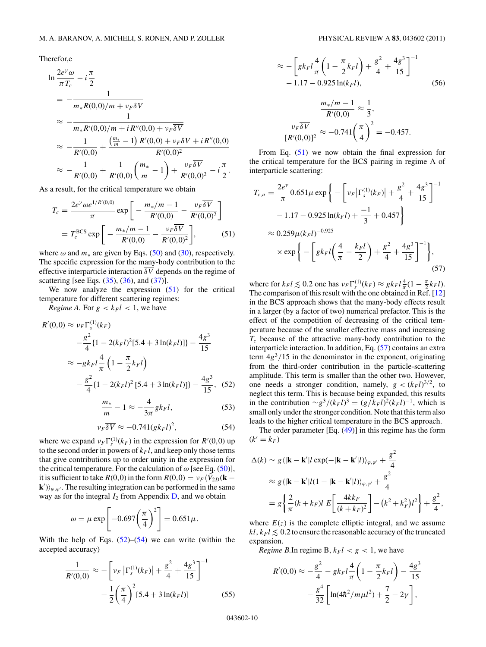<span id="page-9-0"></span>Therefor,e

$$
\ln \frac{2e^{\gamma}\omega}{\pi T_c} - i\frac{\pi}{2}
$$
\n
$$
= -\frac{1}{m_*R(0,0)/m + \nu_F\overline{\delta V}}
$$
\n
$$
\approx -\frac{1}{m_*R'(0,0)/m + iR''(0,0) + \nu_F\overline{\delta V}}
$$
\n
$$
\approx -\frac{1}{R'(0,0)} + \frac{\left(\frac{m_*}{m} - 1\right)R'(0,0) + \nu_F\overline{\delta V} + iR''(0,0)}{R'(0,0)^2}
$$
\n
$$
\approx -\frac{1}{R'(0,0)} + \frac{1}{R'(0,0)}\left(\frac{m_*}{m} - 1\right) + \frac{\nu_F\overline{\delta V}}{R'(0,0)^2} - i\frac{\pi}{2}.
$$

As a result, for the critical temperature we obtain

$$
T_c = \frac{2e^{\gamma}\omega e^{1/R'(0,0)}}{\pi} \exp\left[-\frac{m_*/m-1}{R'(0,0)} - \frac{\nu_F \overline{\delta V}}{R'(0,0)^2}\right]
$$

$$
= T_c^{\text{BCS}} \exp\left[-\frac{m_*/m-1}{R'(0,0)} - \frac{\nu_F \overline{\delta V}}{R'(0,0)^2}\right],\tag{51}
$$

where  $\omega$  and  $m_*$  are given by Eqs. [\(50\)](#page-8-0) and [\(30\)](#page-6-0), respectively. The specific expression for the many-body contribution to the effective interparticle interaction  $\overline{\delta V}$  depends on the regime of scattering [see Eqs.  $(35)$ ,  $(36)$ , and  $(37)$ ].

We now analyze the expression  $(51)$  for the critical temperature for different scattering regimes:

*Regime A.* For  $g < k_F l < 1$ , we have

$$
R'(0,0) \approx \nu_F \Gamma_s^{(1)}(k_F)
$$
  
\n
$$
-\frac{g^2}{4} \{1 - 2(k_F l)^2 [5.4 + 3 \ln(k_F l)]\} - \frac{4g^3}{15}
$$
  
\n
$$
\approx -g k_F l \frac{4}{\pi} \left(1 - \frac{\pi}{2} k_F l\right)
$$
  
\n
$$
-\frac{g^2}{4} \{1 - 2(k_F l)^2 [5.4 + 3 \ln(k_F l)]\} - \frac{4g^3}{15},
$$
(52)

$$
\frac{m_*}{m} - 1 \approx -\frac{4}{3\pi} g k_F l,\tag{53}
$$

$$
\nu_F \overline{\delta V} \approx -0.741 (g k_F l)^2, \qquad (54)
$$

where we expand  $v_F \Gamma_s^{(1)}(k_F)$  in the expression for  $R'(0,0)$  up to the second order in powers of  $k_F l$ , and keep only those terms that give contributions up to order unity in the expression for the critical temperature. For the calculation of  $\omega$  [see Eq. [\(50\)](#page-8-0)], it is sufficient to take  $R(0,0)$  in the form  $R(0,0) = v_F \langle \tilde{V}_{2D}(\mathbf{k} - \mathbf{r}) \rangle$  $\mathbf{k}'$ ))<sub> $\varphi, \varphi'$ </sub>. The resulting integration can be performed in the same way as for the integral  $I_2$  from Appendix  $D$ , and we obtain

$$
\omega = \mu \exp\left[-0.697\left(\frac{\pi}{4}\right)^2\right] = 0.651\mu.
$$

With the help of Eqs.  $(52)$ – $(54)$  we can write (within the accepted accuracy)

$$
\frac{1}{R'(0,0)} \approx -\left[\nu_F \left|\Gamma_s^{(1)}(k_F)\right| + \frac{g^2}{4} + \frac{4g^3}{15}\right]^{-1} - \frac{1}{2}\left(\frac{\pi}{4}\right)^2 [5.4 + 3\ln(k_F l)] \tag{55}
$$

$$
\approx -\left[gk_F l \frac{4}{\pi} \left(1 - \frac{\pi}{2} k_F l\right) + \frac{g^2}{4} + \frac{4g^3}{15}\right]^{-1}
$$
  
- 1.17 - 0.925 ln(k<sub>F</sub>l), (56)

$$
\frac{m_*/m - 1}{R'(0,0)} \approx \frac{1}{3},
$$
  

$$
\frac{\nu_F \overline{\delta V}}{[R'(0,0)]^2} \approx -0.741 \left(\frac{\pi}{4}\right)^2 = -0.457.
$$

From Eq. (51) we now obtain the final expression for the critical temperature for the BCS pairing in regime A of interparticle scattering:

$$
T_{c,a} = \frac{2e^{\gamma}}{\pi} 0.651 \mu \exp \left\{ -\left[ \nu_F \left| \Gamma_s^{(1)}(k_F) \right| + \frac{g^2}{4} + \frac{4g^3}{15} \right]^{-1} \right. \\ \left. - 1.17 - 0.925 \ln(k_F l) + \frac{-1}{3} + 0.457 \right\} \\ \approx 0.259 \mu (k_F l)^{-0.925} \\ \times \exp \left\{ -\left[ g k_F l \left( \frac{4}{\pi} - \frac{k_F l}{2} \right) + \frac{g^2}{4} + \frac{4g^3}{15} \right]^{-1} \right\}, \tag{57}
$$

where for  $k_F l \leq 0.2$  one has  $\nu_F \Gamma_s^{(1)}(k_F) \approx g k_F l \frac{4}{\pi} (1 - \frac{\pi}{2} k_F l)$ . The comparison of this result with the one obtained in Ref. [\[12\]](#page-20-0) in the BCS approach shows that the many-body effects result in a larger (by a factor of two) numerical prefactor. This is the effect of the competition of decreasing of the critical temperature because of the smaller effective mass and increasing *Tc* because of the attractive many-body contribution to the interparticle interaction. In addition, Eq. (57) contains an extra term  $4g^3/15$  in the denominator in the exponent, originating from the third-order contribution in the particle-scattering amplitude. This term is smaller than the other two. However, one needs a stronger condition, namely,  $g < (k_F l)^{3/2}$ , to neglect this term. This is because being expanded, this results in the contribution  $\sim g^3/(k_F l)^3 = (g/k_F l)^2 (k_F l)^{-1}$ , which is small only under the stronger condition. Note that this term also leads to the higher critical temperature in the BCS approach.

The order parameter [Eq. [\(49\)](#page-8-0)] in this regime has the form  $(k' = k_F)$ 

$$
\Delta(k) \sim g\langle |\mathbf{k} - \mathbf{k}'|l \exp(-|\mathbf{k} - \mathbf{k}'|l)\rangle_{\varphi, \varphi'} + \frac{g^2}{4}
$$
  
\n
$$
\approx g\langle |\mathbf{k} - \mathbf{k}'|l(1 - |\mathbf{k} - \mathbf{k}'|l)\rangle_{\varphi, \varphi'} + \frac{g^2}{4}
$$
  
\n
$$
= g\left\{\frac{2}{\pi}(k + k_F)l \ E\left[\frac{4kk_F}{(k + k_F)^2}\right] - (k^2 + k_F^2)l^2\right\} + \frac{g^2}{4},
$$

where  $E(z)$  is the complete elliptic integral, and we assume  $k$ *l*,  $k_F$ *l*  $\leq 0.2$  to ensure the reasonable accuracy of the truncated expansion.

*Regime B.In regime B,*  $k_F l < g < 1$ *, we have* 

$$
R'(0,0) \approx -\frac{g^2}{4} - g k_F l \frac{4}{\pi} \left( 1 - \frac{\pi}{2} k_F l \right) - \frac{4g^3}{15}
$$

$$
- \frac{g^4}{32} \left[ \ln(4\hbar^2 / m\mu l^2) + \frac{7}{2} - 2\gamma \right],
$$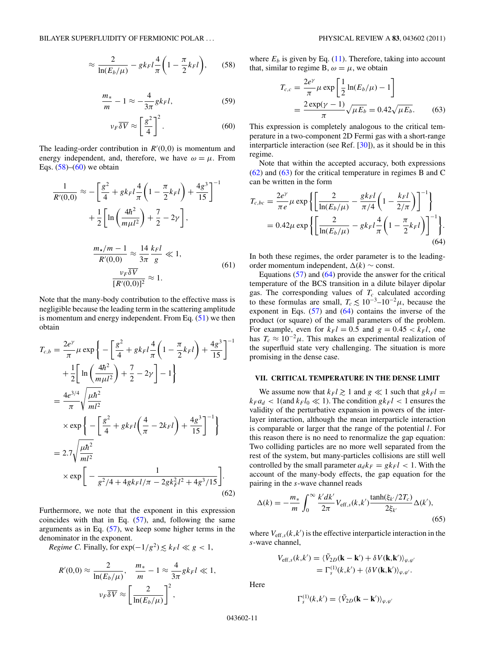<span id="page-10-0"></span>
$$
\approx \frac{2}{\ln(E_b/\mu)} - g k_F l \frac{4}{\pi} \left( 1 - \frac{\pi}{2} k_F l \right), \quad (58)
$$

$$
\frac{m_*}{m} - 1 \approx -\frac{4}{3\pi} g k_F l,\tag{59}
$$

$$
\nu_F \overline{\delta V} \approx \left[\frac{g^2}{4}\right]^2.
$$
 (60)

The leading-order contribution in  $R'(0,0)$  is momentum and energy independent, and, therefore, we have  $\omega = \mu$ . From Eqs.  $(58)$ – $(60)$  we obtain

$$
\frac{1}{R'(0,0)} \approx -\left[\frac{g^2}{4} + g k_F l \frac{4}{\pi} \left(1 - \frac{\pi}{2} k_F l\right) + \frac{4g^3}{15}\right]^{-1} \n+ \frac{1}{2} \left[\ln \left(\frac{4\hbar^2}{m\mu l^2}\right) + \frac{7}{2} - 2\gamma\right], \n\frac{m_\star/m - 1}{R'(0,0)} \approx \frac{14}{3\pi} \frac{k_F l}{g} \ll 1, \n\frac{\nu_F \overline{\delta V}}{[R'(0,0)]^2} \approx 1.
$$
\n(61)

Note that the many-body contribution to the effective mass is negligible because the leading term in the scattering amplitude is momentum and energy independent. From Eq. [\(51\)](#page-9-0) we then obtain

$$
T_{c,b} = \frac{2e^{\gamma}}{\pi} \mu \exp \left\{ -\left[ \frac{g^2}{4} + g k_F l \frac{4}{\pi} \left( 1 - \frac{\pi}{2} k_F l \right) + \frac{4g^3}{15} \right]^{-1} \right\}
$$
  
+ 
$$
\frac{1}{2} \left[ \ln \left( \frac{4\hbar^2}{m \mu l^2} \right) + \frac{7}{2} - 2\gamma \right] - 1 \right\}
$$
  
= 
$$
\frac{4e^{3/4}}{\pi} \sqrt{\frac{\mu \hbar^2}{ml^2}}
$$
  

$$
\times \exp \left\{ -\left[ \frac{g^2}{4} + g k_F l \left( \frac{4}{\pi} - 2k_F l \right) + \frac{4g^3}{15} \right]^{-1} \right\}
$$
  
= 
$$
2.7 \sqrt{\frac{\mu \hbar^2}{ml^2}}
$$
  

$$
\times \exp \left[ -\frac{1}{g^2/4 + 4g k_F l / \pi - 2g k_F^2 l^2 + 4g^3 / 15} \right].
$$
 (62)

Furthermore, we note that the exponent in this expression coincides with that in Eq.  $(57)$ , and, following the same arguments as in Eq. [\(57\)](#page-9-0), we keep some higher terms in the denominator in the exponent.

*Regime C.* Finally, for  $\exp(-1/g^2) \lesssim k_F l \ll g < 1$ ,

$$
R'(0,0) \approx \frac{2}{\ln(E_b/\mu)}, \quad \frac{m_*}{m} - 1 \approx \frac{4}{3\pi} g k_F l \ll 1,
$$

$$
\nu_F \overline{\delta V} \approx \left[\frac{2}{\ln(E_b/\mu)}\right]^2,
$$

where  $E_b$  is given by Eq.  $(11)$ . Therefore, taking into account that, similar to regime B,  $\omega = \mu$ , we obtain

$$
T_{c,c} = \frac{2e^{\gamma}}{\pi} \mu \exp\left[\frac{1}{2}\ln(E_b/\mu) - 1\right]
$$

$$
= \frac{2\exp(\gamma - 1)}{\pi} \sqrt{\mu E_b} = 0.42\sqrt{\mu E_b}.
$$
 (63)

This expression is completely analogous to the critical temperature in a two-component 2D Fermi gas with a short-range interparticle interaction (see Ref. [\[30\]](#page-20-0)), as it should be in this regime.

Note that within the accepted accuracy, both expressions (62) and (63) for the critical temperature in regimes B and C can be written in the form

$$
T_{c,bc} = \frac{2e^{\gamma}}{\pi e} \mu \exp \left\{ \left[ \frac{2}{\ln(E_b/\mu)} - \frac{g k_F l}{\pi/4} \left( 1 - \frac{k_F l}{2/\pi} \right) \right]^{-1} \right\}
$$
  
= 0.42 $\mu$  exp  $\left\{ \left[ \frac{2}{\ln(E_b/\mu)} - g k_F l \frac{4}{\pi} \left( 1 - \frac{\pi}{2} k_F l \right) \right]^{-1} \right\}$ . (64)

In both these regimes, the order parameter is to the leadingorder momentum independent,  $\Delta(k)$  ∼ const.

Equations [\(57\)](#page-9-0) and (64) provide the answer for the critical temperature of the BCS transition in a dilute bilayer dipolar gas. The corresponding values of  $T_c$  calculated according to these formulas are small,  $T_c \lesssim 10^{-3} - 10^{-2} \mu$ , because the exponent in Eqs. [\(57\)](#page-9-0) and (64) contains the inverse of the product (or square) of the small parameters of the problem. For example, even for  $k_F l = 0.5$  and  $g = 0.45 < k_F l$ , one has  $T_c \approx 10^{-2} \mu$ . This makes an experimental realization of the superfluid state very challenging. The situation is more promising in the dense case.

## **VII. CRITICAL TEMPERATURE IN THE DENSE LIMIT**

We assume now that  $k_F l \gtrsim 1$  and  $g \ll 1$  such that  $g k_F l =$  $k_F a_d$  < 1(and  $k_F l_0 \ll 1$ ). The condition  $g k_F l$  < 1 ensures the validity of the perturbative expansion in powers of the interlayer interaction, although the mean interparticle interaction is comparable or larger that the range of the potential *l*. For this reason there is no need to renormalize the gap equation: Two colliding particles are no more well separated from the rest of the system, but many-particles collisions are still well controlled by the small parameter  $a_d k_F = g k_F l < 1$ . With the account of the many-body effects, the gap equation for the pairing in the *s*-wave channel reads

$$
\Delta(k) = -\frac{m_*}{m} \int_0^\infty \frac{k' dk'}{2\pi} V_{\text{eff},s}(k, k') \frac{\tanh(\xi_{k'}/2T_c)}{2\xi_{k'}} \Delta(k'),\tag{65}
$$

where  $V_{\text{eff},s}(k, k')$  is the effective interparticle interaction in the *s*-wave channel,

$$
V_{\text{eff},s}(k,k') = \langle \tilde{V}_{2D}(\mathbf{k} - \mathbf{k}') + \delta V(\mathbf{k}, \mathbf{k}') \rangle_{\varphi, \varphi'}
$$
  
=  $\Gamma_s^{(1)}(k,k') + \langle \delta V(\mathbf{k}, \mathbf{k}') \rangle_{\varphi, \varphi'}$ .

Here

$$
\Gamma_s^{(1)}(k,k') = \langle \tilde{V}_{2D}(\mathbf{k} - \mathbf{k}') \rangle_{\varphi,\varphi'}
$$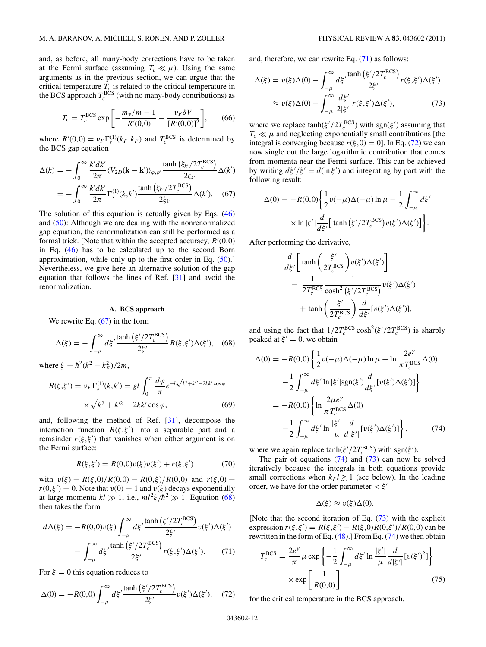<span id="page-11-0"></span>and, as before, all many-body corrections have to be taken at the Fermi surface (assuming  $T_c \ll \mu$ ). Using the same arguments as in the previous section, we can argue that the critical temperature  $T_c$  is related to the critical temperature in the BCS approach  $T_c^{\text{BCS}}$  (with no many-body contributions) as

$$
T_c = T_c^{\text{BCS}} \exp\left[-\frac{m_*/m - 1}{R'(0,0)} - \frac{\nu_F \overline{\delta V}}{[R'(0,0)]^2}\right],\qquad(66)
$$

where  $R'(0,0) = v_F \Gamma_s^{(1)}(k_F, k_F)$  and  $T_c^{BCS}$  is determined by the BCS gap equation

$$
\Delta(k) = -\int_0^\infty \frac{k'dk'}{2\pi} \langle \tilde{V}_{2D}(\mathbf{k} - \mathbf{k}') \rangle_{\varphi,\varphi'} \frac{\tanh\left(\xi_{k'}/2T_c^{\text{BCS}}\right)}{2\xi_{k'}} \Delta(k')
$$

$$
= -\int_0^\infty \frac{k'dk'}{2\pi} \Gamma_s^{(1)}(k,k') \frac{\tanh\left(\xi_{k'}/2T_c^{\text{BCS}}\right)}{2\xi_{k'}} \Delta(k'). \quad (67)
$$

The solution of this equation is actually given by Eqs. [\(46\)](#page-8-0) and [\(50\)](#page-8-0): Although we are dealing with the nonrenormalized gap equation, the renormalization can still be performed as a formal trick. [Note that within the accepted accuracy, *R* (0*,*0) in Eq. [\(46\)](#page-8-0) has to be calculated up to the second Born approximation, while only up to the first order in Eq. [\(50\)](#page-8-0).] Nevertheless, we give here an alternative solution of the gap equation that follows the lines of Ref. [\[31\]](#page-20-0) and avoid the renormalization.

## **A. BCS approach**

We rewrite Eq.  $(67)$  in the form

$$
\Delta(\xi) = -\int_{-\mu}^{\infty} d\xi' \frac{\tanh\left(\xi'/2T_c^{\text{BCS}}\right)}{2\xi'} R(\xi, \xi') \Delta(\xi'), \quad (68)
$$

 $\text{where } \xi = \hbar^2 (k^2 - k_F^2)/2m,$ 

$$
R(\xi, \xi') = v_F \Gamma_s^{(1)}(k, k') = gl \int_0^{\pi} \frac{d\varphi}{\pi} e^{-l\sqrt{k^2 + k'^2 - 2kk' \cos \varphi}}
$$

$$
\times \sqrt{k^2 + k'^2 - 2kk' \cos \varphi},
$$
(69)

and, following the method of Ref. [\[31\]](#page-20-0), decompose the interaction function  $R(\xi, \xi')$  into a separable part and a remainder  $r(\xi, \xi')$  that vanishes when either argument is on the Fermi surface:

$$
R(\xi, \xi') = R(0,0)v(\xi)v(\xi') + r(\xi, \xi') \tag{70}
$$

with  $v(\xi) = R(\xi,0)/R(0,0) = R(0,\xi)/R(0,0)$  and  $r(\xi,0) =$  $r(0,\xi') = 0$ . Note that  $v(0) = 1$  and  $v(\xi)$  decays exponentially at large momenta  $kl \gg 1$ , i.e.,  $ml^2 \xi/\hbar^2 \gg 1$ . Equation (68) then takes the form

$$
d\Delta(\xi) = -R(0,0)v(\xi) \int_{-\mu}^{\infty} d\xi' \frac{\tanh(\xi'/2T_c^{\text{BCS}})}{2\xi'} v(\xi') \Delta(\xi')
$$

$$
- \int_{-\mu}^{\infty} d\xi' \frac{\tanh(\xi'/2T_c^{\text{BCS}})}{2\xi'} r(\xi,\xi') \Delta(\xi'). \tag{71}
$$

For  $\xi = 0$  this equation reduces to

$$
\Delta(0) = -R(0,0) \int_{-\mu}^{\infty} d\xi' \frac{\tanh(\xi'/2T_c^{\text{BCS}})}{2\xi'} \nu(\xi') \Delta(\xi'), \quad (72)
$$

and, therefore, we can rewrite Eq. (71) as follows:

$$
\Delta(\xi) = v(\xi)\Delta(0) - \int_{-\mu}^{\infty} d\xi' \frac{\tanh(\xi'/2T_c^{\text{BCS}})}{2\xi'} r(\xi, \xi')\Delta(\xi')
$$
  

$$
\approx v(\xi)\Delta(0) - \int_{-\mu}^{\infty} \frac{d\xi'}{2|\xi'|} r(\xi, \xi')\Delta(\xi'), \tag{73}
$$

where we replace  $\tanh(\xi'/2T_c^{BCS})$  with sgn( $\xi'$ ) assuming that  $T_c \ll \mu$  and neglecting exponentially small contributions [the integral is converging because  $r(\xi,0) = 0$ . In Eq. (72) we can now single out the large logarithmic contribution that comes from momenta near the Fermi surface. This can be achieved by writing  $d\xi'/\xi' = d(\ln \xi')$  and integrating by part with the following result:

$$
\Delta(0) = -R(0,0)\left\{\frac{1}{2}v(-\mu)\Delta(-\mu)\ln\mu - \frac{1}{2}\int_{-\mu}^{\infty}d\xi'\right\}
$$

$$
\times \ln|\xi'|\frac{d}{d\xi'}[\tanh(\xi'/2T_c^{BCS})v(\xi')\Delta(\xi')]\right\}.
$$

After performing the derivative,

$$
\frac{d}{d\xi'} \left[ \tanh\left(\frac{\xi'}{2T_c^{\text{BCS}}}\right) v(\xi')\Delta(\xi') \right]
$$
  
= 
$$
\frac{1}{2T_c^{\text{BCS}}}\frac{1}{\cosh^2(\xi'/2T_c^{\text{BCS}})}v(\xi')\Delta(\xi')
$$
  
+ 
$$
\tanh\left(\frac{\xi'}{2T_c^{\text{BCS}}}\right)\frac{d}{d\xi'}[v(\xi')\Delta(\xi')],
$$

and using the fact that  $1/2T_c^{\text{BCS}} \cosh^2(\xi'/2T_c^{\text{BCS}})$  is sharply peaked at  $\xi' = 0$ , we obtain

$$
\Delta(0) = -R(0,0) \left\{ \frac{1}{2} v(-\mu) \Delta(-\mu) \ln \mu + \ln \frac{2e^{\gamma}}{\pi T_c^{\text{BCS}}} \Delta(0) - \frac{1}{2} \int_{-\mu}^{\infty} d\xi' \ln |\xi'| \text{sgn}(\xi') \frac{d}{d\xi'} [v(\xi') \Delta(\xi')] \right\}
$$
  
=  $-R(0,0) \left\{ \ln \frac{2\mu e^{\gamma}}{\pi T_c^{\text{BCS}}} \Delta(0) - \frac{1}{2} \int_{-\mu}^{\infty} d\xi' \ln \frac{|\xi'|}{\mu} \frac{d}{d|\xi'|} [v(\xi') \Delta(\xi')] \right\},$  (74)

where we again replace  $\tanh(\xi'/2T_c^{\text{BCS}})$  with sgn( $\xi'$ ).

The pair of equations  $(74)$  and  $(73)$  can now be solved iteratively because the integrals in both equations provide small corrections when  $k_F l \geq 1$  (see below). In the leading order, we have for the order parameter *< ξ*

$$
\Delta(\xi) \approx v(\xi)\Delta(0).
$$

[Note that the second iteration of Eq. (73) with the explicit expression  $r(\xi, \xi') = R(\xi, \xi') - R(\xi, 0)R(0, \xi')/R(0, 0)$  can be rewritten in the form of Eq.  $(48)$ . From Eq.  $(74)$  we then obtain

$$
T_c^{\text{BCS}} = \frac{2e^{\gamma}}{\pi} \mu \exp\left\{-\frac{1}{2} \int_{-\mu}^{\infty} d\xi' \ln \frac{|\xi'|}{\mu} \frac{d}{d|\xi'|} [v(\xi')^2] \right\}
$$

$$
\times \exp\left[\frac{1}{R(0,0)}\right]
$$
(75)

for the critical temperature in the BCS approach.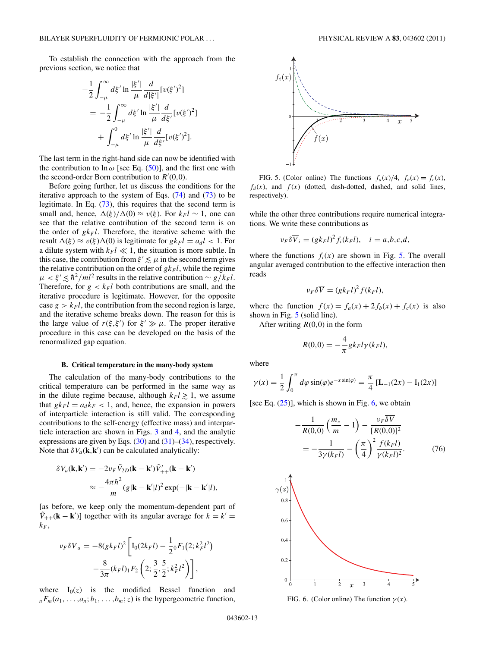<span id="page-12-0"></span>To establish the connection with the approach from the previous section, we notice that

$$
-\frac{1}{2} \int_{-\mu}^{\infty} d\xi' \ln \frac{|\xi'|}{\mu} \frac{d}{d|\xi'|} \left[ v(\xi')^2 \right] \n= -\frac{1}{2} \int_{-\mu}^{\infty} d\xi' \ln \frac{|\xi'|}{\mu} \frac{d}{d\xi'} \left[ v(\xi')^2 \right] \n+ \int_{-\mu}^{0} d\xi' \ln \frac{|\xi'|}{\mu} \frac{d}{d\xi'} \left[ v(\xi')^2 \right].
$$

The last term in the right-hand side can now be identified with the contribution to  $\ln \omega$  [see Eq. [\(50\)](#page-8-0)], and the first one with the second-order Born contribution to  $R'(0,0)$ .

Before going further, let us discuss the conditions for the iterative approach to the system of Eqs.  $(74)$  and  $(73)$  to be legitimate. In Eq. [\(73\)](#page-11-0), this requires that the second term is small and, hence,  $\Delta(\xi)/\Delta(0) \approx v(\xi)$ . For  $k_F l \sim 1$ , one can see that the relative contribution of the second term is on the order of  $g k_F l$ . Therefore, the iterative scheme with the result  $\Delta(\xi) \approx v(\xi)\Delta(0)$  is legitimate for  $g k_F l = a_d l < 1$ . For a dilute system with  $k_F l \ll 1$ , the situation is more subtle. In this case, the contribution from  $\xi' \lesssim \mu$  in the second term gives the relative contribution on the order of  $g k_F l$ , while the regime  $\mu < \xi' \lesssim \hbar^2/ml^2$  results in the relative contribution ∼ *g/k<sub>F</sub>l*. Therefore, for  $g < k_F l$  both contributions are small, and the iterative procedure is legitimate. However, for the opposite case  $g > k_F l$ , the contribution from the second region is large, and the iterative scheme breaks down. The reason for this is the large value of  $r(\xi, \xi')$  for  $\xi' \gg \mu$ . The proper iterative procedure in this case can be developed on the basis of the renormalized gap equation.

## **B. Critical temperature in the many-body system**

The calculation of the many-body contributions to the critical temperature can be performed in the same way as in the dilute regime because, although  $k_F l \geq 1$ , we assume that  $g k_F l = a_d k_F < 1$ , and, hence, the expansion in powers of interparticle interaction is still valid. The corresponding contributions to the self-energy (effective mass) and interparticle interaction are shown in Figs. [3](#page-6-0) and [4,](#page-7-0) and the analytic expressions are given by Eqs.  $(30)$  and  $(31)$ – $(34)$ , respectively. Note that  $\delta V_a(\mathbf{k}, \mathbf{k}')$  can be calculated analytically:

$$
\delta V_a(\mathbf{k}, \mathbf{k}') = -2v_F \tilde{V}_{2D}(\mathbf{k} - \mathbf{k}') \tilde{V}'_{++}(\mathbf{k} - \mathbf{k}')
$$
  

$$
\approx -\frac{4\pi\hbar^2}{m} (g|\mathbf{k} - \mathbf{k}'|l)^2 \exp(-|\mathbf{k} - \mathbf{k}'|l),
$$

[as before, we keep only the momentum-dependent part of  $\overline{V}_{++}(\mathbf{k} - \mathbf{k}')$ ] together with its angular average for  $k = k' =$  $k_F$ ,

$$
\nu_F \delta \overline{V}_a = -8(gk_F l)^2 \left[ I_0(2k_F l) - \frac{1}{2} {}_0F_1(2; k_F^2 l^2) - \frac{8}{3\pi} (k_F l)_1 F_2 \left( 2; \frac{3}{2}, \frac{5}{2}; k_F^2 l^2 \right) \right],
$$

where  $I_0(z)$  is the modified Bessel function and  $n F_m(a_1, \ldots, a_n; b_1, \ldots, b_m; z)$  is the hypergeometric function,

 $(x)$ 

FIG. 5. (Color online) The functions  $f_a(x)/4$ ,  $f_b(x) = f_c(x)$ ,  $f_d(x)$ , and  $f(x)$  (dotted, dash-dotted, dashed, and solid lines, respectively).

while the other three contributions require numerical integrations. We write these contributions as

$$
\nu_F \delta \overline{V}_i = (gk_F l)^2 f_i(k_F l), \quad i = a, b, c, d,
$$

where the functions  $f_i(x)$  are shown in Fig. 5. The overall angular averaged contribution to the effective interaction then reads

$$
\nu_F \delta \overline{V} = (g k_F l)^2 f(k_F l),
$$

where the function  $f(x) = f_a(x) + 2f_b(x) + f_c(x)$  is also shown in Fig. 5 (solid line).

After writing *R*(0*,*0) in the form

$$
R(0,0) = -\frac{4}{\pi} g k_F l \gamma(k_F l),
$$

where

$$
\gamma(x) = \frac{1}{2} \int_0^{\pi} d\varphi \sin(\varphi) e^{-x \sin(\varphi)} = \frac{\pi}{4} \left[ L_{-1}(2x) - I_1(2x) \right]
$$

[see Eq.  $(25)$ ], which is shown in Fig. 6, we obtain

$$
-\frac{1}{R(0,0)}\left(\frac{m_*}{m}-1\right)-\frac{\nu_F\overline{\delta V}}{[R(0,0)]^2}
$$
  
=\frac{1}{3\gamma(k\_Fl)}-\left(\frac{\pi}{4}\right)^2\frac{f(k\_Fl)}{\gamma(k\_Fl)^2}.(76)



FIG. 6. (Color online) The function  $\gamma(x)$ .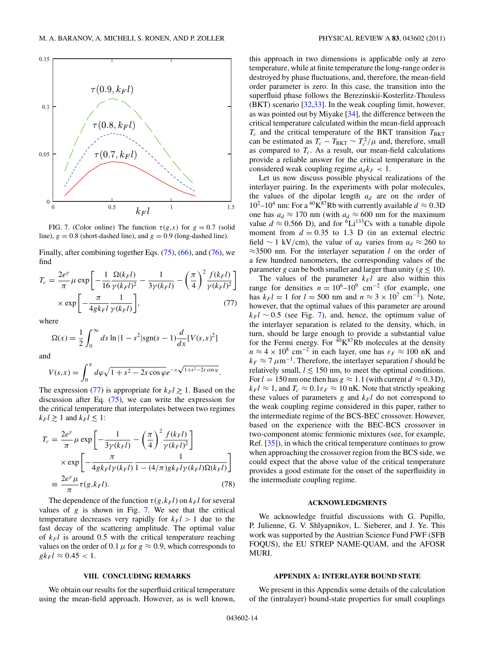<span id="page-13-0"></span>

FIG. 7. (Color online) The function  $\tau(g,x)$  for  $g = 0.7$  (solid line),  $g = 0.8$  (short-dashed line), and  $g = 0.9$  (long-dashed line).

Finally, after combining together Eqs. [\(75\)](#page-11-0), [\(66\)](#page-11-0), and [\(76\)](#page-12-0), we find

$$
T_c = \frac{2e^{\gamma}}{\pi} \mu \exp\left[-\frac{1}{16} \frac{\Omega(k_F l)}{\gamma(k_F l)^2} - \frac{1}{3\gamma(k_F l)} - \left(\frac{\pi}{4}\right)^2 \frac{f(k_F l)}{\gamma(k_F l)^2}\right] \times \exp\left[-\frac{\pi}{4g k_F l} \frac{1}{\gamma(k_F l)}\right],\tag{77}
$$

where

$$
\Omega(x) = \frac{1}{2} \int_0^{\infty} ds \ln|1 - s^2| \text{sgn}(s-1) \frac{d}{dx} [V(s,x)^2]
$$

and

$$
V(s,x) = \int_0^{\pi} d\varphi \sqrt{1 + s^2 - 2s \cos \varphi} e^{-x \sqrt{1 + s^2 - 2s \cos \varphi}}.
$$

The expression (77) is appropriate for  $k_F l \gtrsim 1$ . Based on the discussion after Eq. [\(75\)](#page-11-0), we can write the expression for the critical temperature that interpolates between two regimes  $k_F l \gtrsim 1$  and  $k_F l \lesssim 1$ :

$$
T_c = \frac{2e^{\gamma}}{\pi} \mu \exp\left[-\frac{1}{3\gamma(k_F l)} - \left(\frac{\pi}{4}\right)^2 \frac{f(k_F l)}{\gamma(k_F l)^2}\right]
$$
  
 
$$
\times \exp\left[-\frac{\pi}{4g k_F l \gamma(k_F l)} \frac{1}{1 - (4/\pi)g k_F l \gamma(k_F l) \Omega(k_F l)}\right]
$$
  

$$
\equiv \frac{2e^{\gamma} \mu}{\pi} \tau(g, k_F l).
$$
 (78)

The dependence of the function  $\tau(g, k_F l)$  on  $k_F l$  for several values of *g* is shown in Fig. 7. We see that the critical temperature decreases very rapidly for  $k_F l > 1$  due to the fast decay of the scattering amplitude. The optimal value of  $k_F l$  is around 0.5 with the critical temperature reaching values on the order of 0.1  $\mu$  for  $g \approx 0.9$ , which corresponds to  $g k_F l \approx 0.45 < 1.$ 

## **VIII. CONCLUDING REMARKS**

We obtain our results for the superfluid critical temperature using the mean-field approach. However, as is well known,

this approach in two dimensions is applicable only at zero temperature, while at finite temperature the long-range order is destroyed by phase fluctuations, and, therefore, the mean-field order parameter is zero. In this case, the transition into the superfluid phase follows the Berezinskii-Kosterlitz-Thouless (BKT) scenario [\[32,33\]](#page-20-0). In the weak coupling limit, however, as was pointed out by Miyake [\[34\]](#page-20-0), the difference between the critical temperature calculated within the mean-field approach  $T_c$  and the critical temperature of the BKT transition  $T_{BKT}$ can be estimated as  $T_c - T_{BKT} \sim T_c^2/\mu$  and, therefore, small as compared to  $T_c$ . As a result, our mean-field calculations provide a reliable answer for the critical temperature in the considered weak coupling regime  $a_d k_F < 1$ .

Let us now discuss possible physical realizations of the interlayer pairing. In the experiments with polar molecules, the values of the dipolar length  $a_d$  are on the order of 10<sup>2</sup>–10<sup>4</sup> nm: For a <sup>40</sup>K<sup>87</sup>Rb with currently available  $d \approx 0.3D$ one has  $a_d \approx 170$  nm (with  $a_d \approx 600$  nm for the maximum value  $d \approx 0.566$  D), and for <sup>6</sup>Li<sup>133</sup>Cs with a tunable dipole moment from  $d = 0.35$  to 1.3 D (in an external electric field ~ 1 kV/cm), the value of  $a_d$  varies from  $a_d \approx 260$  to ≈3500 nm. For the interlayer separation *l* on the order of a few hundred nanometers, the corresponding values of the parameter *g* can be both smaller and larger than unity ( $g \le 10$ ).

The values of the parameter  $k_F l$  are also within this range for densities  $n = 10^6 - 10^9$  cm<sup>-2</sup> (for example, one has  $k_F l = 1$  for  $l = 500$  nm and  $n \approx 3 \times 10^7$  cm<sup>-2</sup>). Note, however, that the optimal values of this parameter are around  $k_F l \sim 0.5$  (see Fig. 7), and, hence, the optimum value of the interlayer separation is related to the density, which, in turn, should be large enough to provide a substantial value for the Fermi energy. For  $40K^{87}Rb$  molecules at the density  $n \approx 4 \times 10^8$  cm<sup>-2</sup> in each layer, one has  $\varepsilon_F \approx 100$  nK and  $k_F \approx 7 \ \mu m^{-1}$ . Therefore, the interlayer separation *l* should be relatively small,  $l \le 150$  nm, to meet the optimal conditions. For  $l = 150$  nm one then has  $g \approx 1.1$  (with current  $d \approx 0.3$  D),  $k_F l \approx 1$ , and  $T_c \approx 0.1 \varepsilon_F \approx 10 \text{ nK}$ . Note that strictly speaking these values of parameters  $g$  and  $k_F l$  do not correspond to the weak coupling regime considered in this paper, rather to the intermediate regime of the BCS-BEC crossover. However, based on the experience with the BEC-BCS crossover in two-component atomic fermionic mixtures (see, for example, Ref. [\[35\]](#page-20-0)), in which the critical temperature continues to grow when approaching the crossover region from the BCS side, we could expect that the above value of the critical temperature provides a good estimate for the onset of the superfluidity in the intermediate coupling regime.

## **ACKNOWLEDGMENTS**

We acknowledge fruitful discussions with G. Pupillo, P. Julienne, G. V. Shlyapnikov, L. Sieberer, and J. Ye. This work was supported by the Austrian Science Fund FWF (SFB FOQUS), the EU STREP NAME-QUAM, and the AFOSR MURI.

#### **APPENDIX A: INTERLAYER BOUND STATE**

We present in this Appendix some details of the calculation of the (intralayer) bound-state properties for small couplings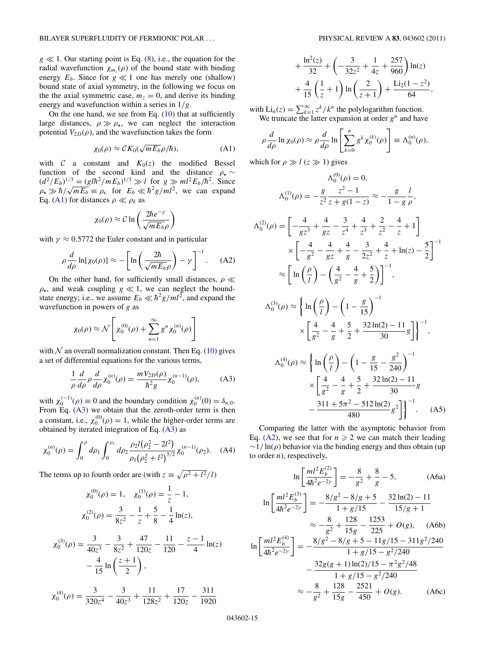<span id="page-14-0"></span> $g \ll 1$ . Our starting point is Eq. [\(8\)](#page-3-0), i.e., the equation for the radial wavefunction  $\chi_{m}(\rho)$  of the bound state with binding energy  $E_b$ . Since for  $g \ll 1$  one has merely one (shallow) bound state of axial symmetry, in the following we focus on the the axial symmetric case,  $m_z = 0$ , and derive its binding energy and wavefunction within a series in 1*/g*.

On the one hand, we see from Eq.  $(10)$  that at sufficiently large distances,  $\rho \gg \rho_{\star}$ , we can neglect the interaction potential  $V_{2D}(\rho)$ , and the wavefunction takes the form

$$
\chi_0(\rho) \approx \mathcal{C} K_0(\sqrt{mE_b} \rho/\hbar), \tag{A1}
$$

with  $C$  a constant and  $K_0(z)$  the modified Bessel function of the second kind and the distance  $\rho_{\star} \sim$  $(d^2/E_b)^{1/3} = (glh^2/mE_b)^{1/3} \gg l$  for  $g \gg ml^2E_b/\hbar^2$ . Since  $\rho_{\star} \gg \hbar / \sqrt{mE_b} \equiv \rho_{\kappa}$  for  $E_b \ll \hbar^2 g /ml^2$ , we can expand Eq. (A1) for distances  $\rho \ll \rho_k$  as

$$
\chi_0(\rho) \approx \mathcal{C} \ln \left( \frac{2\hbar e^{-\gamma}}{\sqrt{mE_b \rho}} \right)
$$

with  $\gamma \approx 0.5772$  the Euler constant and in particular

$$
\rho \frac{d}{d\rho} \ln[\chi_0(\rho)] \approx -\left[\ln\left(\frac{2\hbar}{\sqrt{mE_b}\rho}\right) - \gamma\right]^{-1}.\tag{A2}
$$

On the other hand, for sufficiently small distances,  $\rho \ll$  $\rho_{\star}$ , and weak coupling  $g \ll 1$ , we can neglect the boundstate energy; i.e., we assume  $E_b \ll \hbar^2 g/ml^2$ , and expand the wavefunction in powers of *g* as

$$
\chi_0(\rho) \approx \mathcal{N}\left[\chi_0^{(0)}(\rho) + \sum_{n=1}^{\infty} g^n \chi_0^{(n)}(\rho)\right]
$$

with  $N$  an overall normalization constant. Then Eq. [\(10\)](#page-3-0) gives a set of differential equations for the various terms,

$$
\frac{1}{\rho} \frac{d}{d\rho} \rho \frac{d}{d\rho} \chi_0^{(n)}(\rho) = \frac{mV_{2D}(\rho)}{\hbar^2 g} \chi_0^{(n-1)}(\rho), \tag{A3}
$$

with  $\chi_0^{(-1)}(\rho) \equiv 0$  and the boundary condition  $\chi_0^{(n)}(0) = \delta_{n,0}$ . From Eq.  $(A3)$  we obtain that the zeroth-order term is then a constant, i.e.,  $\chi_0^{(0)}(\rho) = 1$ , while the higher-order terms are obtained by iterated integration of Eq.  $(A3)$  as

$$
\chi_0^{(n)}(\rho) = \int_0^{\rho} d\rho_1 \int_0^{\rho_1} d\rho_2 \frac{\rho_2 l(\rho_2^2 - 2l^2)}{\rho_1(\rho_2^2 + l^2)^{5/2}} \chi_0^{(n-1)}(\rho_2). \quad (A4)
$$

The terms up to fourth order are (with  $z = \sqrt{\rho^2 + l^2}/l$ )

$$
\chi_0^{(0)}(\rho) = 1, \quad \chi_0^{(1)}(\rho) = \frac{1}{z} - 1,
$$
  

$$
\chi_0^{(2)}(\rho) = \frac{3}{8z^2} - \frac{1}{z} + \frac{5}{8} - \frac{1}{4}\ln(z),
$$

$$
\chi_0^{(3)}(\rho) = \frac{3}{40z^3} - \frac{3}{8z^2} + \frac{47}{120z} - \frac{11}{120} - \frac{z-1}{4}\ln(z) - \frac{4}{15}\ln\left(\frac{z+1}{2}\right),
$$

$$
\chi_0^{(4)}(\rho) = \frac{3}{320z^4} - \frac{3}{40z^3} + \frac{11}{128z^2} + \frac{17}{120z} - \frac{311}{1920}
$$

$$
+\frac{\ln^2(z)}{32} + \left(-\frac{3}{32z^2} + \frac{1}{4z} + \frac{257}{960}\right)\ln(z) + \frac{4}{15}\left(\frac{1}{z} + 1\right)\ln\left(\frac{2}{z+1}\right) + \frac{\text{Li}_2(1-z^2)}{64},
$$

with  $Li_n(z) = \sum_{k=1}^{\infty} z^k / k^n$  the polylogarithm function. We truncate the latter expansion at order  $g<sup>n</sup>$  and have

$$
\rho \frac{d}{d\rho} \ln \chi_0(\rho) \approx \rho \frac{d}{d\rho} \ln \left[ \sum_{k=0}^n g^k \chi_0^{(k)}(\rho) \right] \equiv \Lambda_0^{(n)}(\rho),
$$

which for  $\rho \gg l$  ( $z \gg 1$ ) gives

$$
\Lambda_0^{(0)}(\rho) = 0,
$$
  

$$
\Lambda_0^{(1)}(\rho) = -\frac{g}{z^2} \frac{z^2 - 1}{z + g(1 - z)} \approx -\frac{g}{1 - g} \frac{l}{\rho},
$$

$$
\Lambda_0^{(2)}(\rho) = \left[ -\frac{4}{gz^3} + \frac{4}{gz} - \frac{3}{z^4} + \frac{4}{z^3} + \frac{2}{z^2} - \frac{4}{z} + 1 \right] \times \left[ -\frac{4}{g^2} - \frac{4}{gz} + \frac{4}{g} - \frac{3}{2z^2} + \frac{4}{z} + \ln(z) - \frac{5}{2} \right]^{-1}
$$
  
\n
$$
\approx \left[ \ln\left(\frac{\rho}{l}\right) - \left(\frac{4}{g^2} - \frac{4}{g} + \frac{5}{2}\right) \right]^{-1},
$$
  
\n
$$
\Lambda_0^{(3)}(\rho) \approx \left\{ \ln\left(\frac{\rho}{l}\right) - \left(1 - \frac{g}{15}\right)^{-1} \right\} \times \left[ \frac{4}{g^2} - \frac{4}{g} + \frac{5}{2} + \frac{32\ln(2) - 11}{30} g \right] \right\}^{-1},
$$
  
\n
$$
\Lambda_0^{(4)}(\rho) \approx \left\{ \ln\left(\frac{\rho}{l}\right) - \left(1 - \frac{g}{15} - \frac{g^2}{240}\right)^{-1} \right\} \times \left[ \frac{4}{g^2} - \frac{4}{g} + \frac{5}{2} + \frac{32\ln(2) - 11}{30} g \right] \times \left[ \frac{4}{g^2} - \frac{4}{g} + \frac{5}{2} + \frac{32\ln(2) - 11}{30} g \right] \times \left[ \frac{4}{g^2} - \frac{4}{g} + \frac{5}{2} + \frac{32\ln(2) - 11}{30} g \right]^{-1}.
$$
 (A5)

Comparing the latter with the asymptotic behavior from Eq. (A2), we see that for  $n \geq 2$  we can match their leading ∼1*/* ln(*ρ*) behavior via the binding energy and thus obtain (up to order *n*), respectively,

$$
\ln\left[\frac{ml^2E_b^{(2)}}{4\hbar^2e^{-2\gamma}}\right] = -\frac{8}{g^2} + \frac{8}{g} - 5,\tag{A6a}
$$

*.* (A5)

$$
\ln\left[\frac{ml^2E_b^{(3)}}{4\hbar^2e^{-2\gamma}}\right] = -\frac{8/g^2 - 8/g + 5}{1 + g/15} - \frac{32\ln(2) - 11}{15/g + 1}
$$

$$
\approx -\frac{8}{g^2} + \frac{128}{15g} - \frac{1253}{225} + O(g), \quad (A6b)
$$

$$
\ln\left[\frac{ml^2E_b^{(4)}}{4\hbar^2e^{-2\gamma}}\right] = -\frac{8/g^2 - 8/g + 5 - 11g/15 - 311g^2/240}{1 + g/15 - g^2/240} -\frac{32g(g+1)\ln(2)/15 - \pi^2g^2/48}{1 + g/15 - g^2/240} \approx -\frac{8}{g^2} + \frac{128}{15g} - \frac{2521}{450} + O(g). \tag{A6c}
$$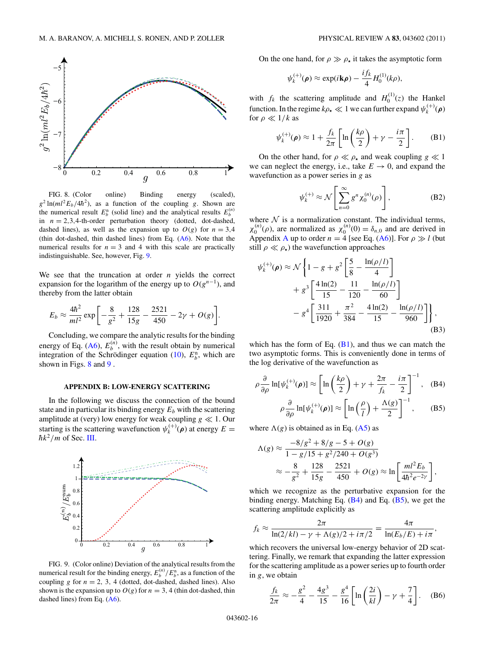<span id="page-15-0"></span>

FIG. 8. (Color online) Binding energy (scaled),  $g^2 \ln(ml^2 E_b/4\hbar^2)$ , as a function of the coupling *g*. Shown are the numerical result  $E_b^n$  (solid line) and the analytical results  $E_b^{(n)}$ in  $n = 2,3,4$ -th-order perturbation theory (dotted, dot-dashed, dashed lines), as well as the expansion up to  $O(g)$  for  $n = 3,4$ (thin dot-dashed, thin dashed lines) from Eq.  $(A6)$ . Note that the numerical results for  $n = 3$  and 4 with this scale are practically indistinguishable. See, however, Fig. 9.

We see that the truncation at order  $n$  yields the correct expansion for the logarithm of the energy up to  $O(g^{n-1})$ , and thereby from the latter obtain

$$
E_b \approx \frac{4\hbar^2}{ml^2} \exp\bigg[-\frac{8}{g^2} + \frac{128}{15g} - \frac{2521}{450} - 2\gamma + O(g)\bigg].
$$

Concluding, we compare the analytic results for the binding energy of Eq.  $(A6)$ ,  $E_b^{(n)}$ , with the result obtain by numerical integration of the Schrödinger equation ([10\)](#page-3-0),  $E_b^n$ , which are shown in Figs. 8 and 9.

#### **APPENDIX B: LOW-ENERGY SCATTERING**

In the following we discuss the connection of the bound state and in particular its binding energy  $E<sub>b</sub>$  with the scattering amplitude at (very) low energy for weak coupling  $g \ll 1$ . Our starting is the scattering wavefunction  $\psi_k^{(+)}(\rho)$  at energy  $E =$  $\hbar k^2/m$  of Sec. [III.](#page-2-0)



FIG. 9. (Color online) Deviation of the analytical results from the numerical result for the binding energy,  $E_b^{(n)}/E_b^n$ , as a function of the coupling *g* for  $n = 2$ , 3, 4 (dotted, dot-dashed, dashed lines). Also shown is the expansion up to  $O(g)$  for  $n = 3, 4$  (thin dot-dashed, thin dashed lines) from Eq. (A6).

On the one hand, for  $\rho \gg \rho_{\star}$  it takes the asymptotic form

$$
\psi_k^{(+)}(\rho) \approx \exp(i\mathbf{k}\rho) - \frac{if_k}{4}H_0^{(1)}(k\rho),
$$

with  $f_k$  the scattering amplitude and  $H_0^{(1)}(z)$  the Hankel function. In the regime  $k\rho_{\star} \ll 1$  we can further expand  $\psi_k^{(+)}(\rho)$ for  $\rho \ll 1/k$  as

$$
\psi_k^{(+)}(\rho) \approx 1 + \frac{f_k}{2\pi} \left[ \ln \left( \frac{k\rho}{2} \right) + \gamma - \frac{i\pi}{2} \right].
$$
 (B1)

On the other hand, for  $\rho \ll \rho_{\star}$  and weak coupling  $g \ll 1$ we can neglect the energy, i.e., take  $E \to 0$ , and expand the wavefunction as a power series in *g* as

$$
\psi_k^{(+)} \approx \mathcal{N}\left[\sum_{n=0}^{\infty} g^n \chi_0^{(n)}(\rho)\right],\tag{B2}
$$

where  $N$  is a normalization constant. The individual terms,  $\chi_0^{(n)}(\rho)$ , are normalized as  $\chi_0^{(n)}(0) = \delta_{n,0}$  and are derived in [A](#page-13-0)ppendix A up to order  $n = 4$  [see Eq. (A6)]. For  $\rho \gg l$  (but still  $\rho \ll \rho_{\star}$ ) the wavefunction approaches

$$
\psi_k^{(+)}(\rho) \approx \mathcal{N} \left\{ 1 - g + g^2 \left[ \frac{5}{8} - \frac{\ln(\rho/l)}{4} \right] + g^3 \left[ \frac{4 \ln(2)}{15} - \frac{11}{120} - \frac{\ln(\rho/l)}{60} \right] - g^4 \left[ \frac{311}{1920} + \frac{\pi^2}{384} - \frac{4 \ln(2)}{15} - \frac{\ln(\rho/l)}{960} \right] \right\},
$$
\n(B3)

which has the form of Eq.  $(B1)$ , and thus we can match the two asymptotic forms. This is conveniently done in terms of the log derivative of the wavefunction as

$$
\rho \frac{\partial}{\partial \rho} \ln[\psi_k^{(+)}(\rho)] \approx \left[ \ln \left( \frac{k\rho}{2} \right) + \gamma + \frac{2\pi}{f_k} - \frac{i\pi}{2} \right]^{-1}, \quad (B4)
$$

$$
\rho \frac{\partial}{\partial \rho} \ln[\psi_k^{(+)}(\rho)] \approx \left[ \ln \left( \frac{\rho}{l} \right) + \frac{\Lambda(g)}{2} \right]^{-1}, \quad (B5)
$$

where  $\Lambda(g)$  is obtained as in Eq. [\(A5\)](#page-14-0) as

$$
\begin{aligned} \Lambda(g) &\approx \frac{-8/g^2 + 8/g - 5 + O(g)}{1 - g/15 + g^2/240 + O(g^3)} \\ &\approx -\frac{8}{g^2} + \frac{128}{15g} - \frac{2521}{450} + O(g) \approx \ln\left[\frac{ml^2E_b}{4\hbar^2 e^{-2\gamma}}\right], \end{aligned}
$$

which we recognize as the perturbative expansion for the binding energy. Matching Eq.  $(B4)$  and Eq.  $(B5)$ , we get the scattering amplitude explicitly as

$$
f_k \approx \frac{2\pi}{\ln(2/kl) - \gamma + \Lambda(g)/2 + i\pi/2} = \frac{4\pi}{\ln(E_b/E) + i\pi},
$$

which recovers the universal low-energy behavior of 2D scattering. Finally, we remark that expanding the latter expression for the scattering amplitude as a power series up to fourth order in *g*, we obtain

$$
\frac{f_k}{2\pi} \approx -\frac{g^2}{4} - \frac{4g^3}{15} - \frac{g^4}{16} \left[ \ln \left( \frac{2i}{kl} \right) - \gamma + \frac{7}{4} \right]. \quad (B6)
$$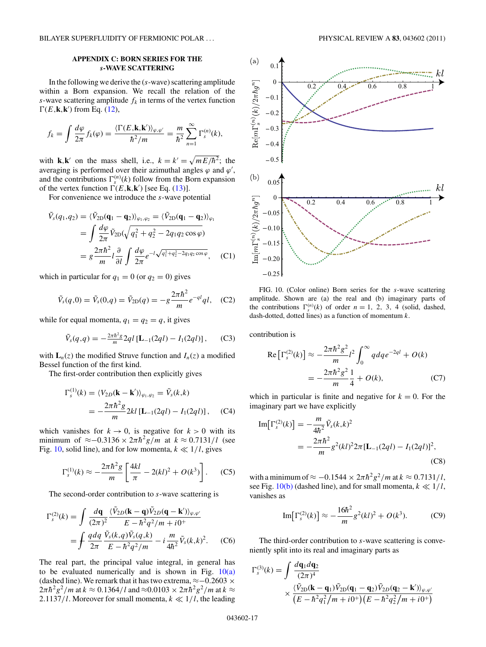## **APPENDIX C: BORN SERIES FOR THE** *s***-WAVE SCATTERING**

<span id="page-16-0"></span>In the following we derive the (*s*-wave) scattering amplitude within a Born expansion. We recall the relation of the *s*-wave scattering amplitude  $f_k$  in terms of the vertex function  $\Gamma(E, \mathbf{k}, \mathbf{k}')$  from Eq. [\(12\)](#page-4-0),

$$
f_k = \int \frac{d\varphi}{2\pi} f_k(\varphi) = \frac{\langle \Gamma(E, \mathbf{k}, \mathbf{k}') \rangle_{\varphi, \varphi'}}{\hbar^2 / m} = \frac{m}{\hbar^2} \sum_{n=1}^{\infty} \Gamma_s^{(n)}(k),
$$

with **k**,**k**' on the mass shell, i.e.,  $k = k' = \sqrt{mE/\hbar^2}$ ; the averaging is performed over their azimuthal angles  $\varphi$  and  $\varphi'$ , and the contributions  $\Gamma_s^{(n)}(k)$  follow from the Born expansion of the vertex function  $\Gamma(E, \mathbf{k}, \mathbf{k}')$  [see Eq. [\(13\)](#page-4-0)].

For convenience we introduce the *s*-wave potential

$$
\tilde{V}_s(q_1, q_2) = \langle \tilde{V}_{2D}(\mathbf{q}_1 - \mathbf{q}_2) \rangle_{\varphi_1, \varphi_2} = \langle \tilde{V}_{2D}(\mathbf{q}_1 - \mathbf{q}_2) \rangle_{\varphi_1} \n= \int \frac{d\varphi}{2\pi} \tilde{V}_{2D}(\sqrt{q_1^2 + q_2^2 - 2q_1 q_2 \cos \varphi}) \n= g \frac{2\pi \hbar^2}{m} l \frac{\partial}{\partial l} \int \frac{d\varphi}{2\pi} e^{-l \sqrt{q_1^2 + q_2^2 - 2q_1 q_2 \cos \varphi}}, \quad (C1)
$$

which in particular for  $q_1 = 0$  (or  $q_2 = 0$ ) gives

$$
\tilde{V}_s(q,0) = \tilde{V}_s(0,q) = \tilde{V}_{2D}(q) = -g \frac{2\pi \hbar^2}{m} e^{-q}q l, \quad (C2)
$$

while for equal momenta,  $q_1 = q_2 = q$ , it gives

$$
\tilde{V}_s(q,q) = -\frac{2\pi\hbar^2 g}{m} 2ql \left[ \mathbf{L}_{-1}(2ql) - I_1(2ql) \right],\qquad(C3)
$$

with  $\mathbf{L}_n(z)$  the modified Struve function and  $I_n(z)$  a modified Bessel function of the first kind.

The first-order contribution then explicitly gives

$$
\Gamma_s^{(1)}(k) = \langle V_{2D}(\mathbf{k} - \mathbf{k}') \rangle_{\varphi_1, \varphi_2} = \tilde{V}_s(k, k)
$$
  
= 
$$
-\frac{2\pi \hbar^2 g}{m} 2kl \left[ \mathbf{L}_{-1}(2ql) - I_1(2ql) \right], \quad (C4)
$$

which vanishes for  $k \to 0$ , is negative for  $k > 0$  with its minimum of  $\approx$  -0.3136 ×  $2\pi\hbar^2 g/m$  at  $k \approx 0.7131/l$  (see Fig. 10, solid line), and for low momenta,  $k \ll 1/l$ , gives

$$
\Gamma_s^{(1)}(k) \approx -\frac{2\pi\hbar^2 g}{m} \left[ \frac{4kl}{\pi} - 2(kl)^2 + O(k^3) \right].
$$
 (C5)

The second-order contribution to *s*-wave scattering is

$$
\Gamma_s^{(2)}(k) = \int \frac{d\mathbf{q}}{(2\pi)^2} \frac{\langle \tilde{V}_{2D}(\mathbf{k} - \mathbf{q}) \tilde{V}_{2D}(\mathbf{q} - \mathbf{k}') \rangle_{\varphi, \varphi'}}{E - \hbar^2 q^2 / m + i0^+}
$$
  
= 
$$
\int \frac{q dq}{2\pi} \frac{\tilde{V}_s(k, q) \tilde{V}_s(q, k)}{E - \hbar^2 q^2 / m} - i \frac{m}{4\hbar^2} \tilde{V}_s(k, k)^2.
$$
 (C6)

The real part, the principal value integral, in general has to be evaluated numerically and is shown in Fig.  $10(a)$ (dashed line). We remark that it has two extrema, ≈−0*.*2603 ×  $2\pi\hbar^2 g^2/m$  at  $k\approx 0.1364/l$  and  $\approx$   $0.0103\times 2\pi\hbar^2 g^2/m$  at  $k\approx$ 2.1137/*l*. Moreover for small momenta,  $k \ll 1/l$ , the leading



FIG. 10. (Color online) Born series for the *s*-wave scattering amplitude. Shown are (a) the real and (b) imaginary parts of the contributions  $\Gamma_s^{(n)}(k)$  of order  $n = 1, 2, 3, 4$  (solid, dashed, dash-dotted, dotted lines) as a function of momentum *k*.

contribution is

Re 
$$
\left[\Gamma_s^{(2)}(k)\right] \approx -\frac{2\pi\hbar^2 g^2}{m} l^2 \int_0^\infty q dq e^{-2ql} + O(k)
$$
  
=  $-\frac{2\pi\hbar^2 g^2}{m} \frac{1}{4} + O(k),$  (C7)

which in particular is finite and negative for  $k = 0$ . For the imaginary part we have explicitly

$$
\begin{split} \text{Im}\big[\Gamma_s^{(2)}(k)\big] &= -\frac{m}{4\hbar^2}\tilde{V}_s(k,k)^2\\ &= -\frac{2\pi\hbar^2}{m}g^2(kl)^2 2\pi\left[\mathbf{L}_{-1}(2ql) - I_1(2ql)\right]^2, \end{split} \tag{C8}
$$

with a minimum of  $\approx -0.1544 \times 2\pi\hbar^2 g^2/m$  at  $k \approx 0.7131/l$ , see Fig. 10(b) (dashed line), and for small momenta,  $k \ll 1/l$ , vanishes as

Im
$$
\left[\Gamma_s^{(2)}(k)\right] \approx -\frac{16\hbar^2}{m}g^2(kl)^2 + O(k^3).
$$
 (C9)

The third-order contribution to *s*-wave scattering is conveniently split into its real and imaginary parts as

$$
\Gamma_s^{(3)}(k) = \int \frac{d\mathbf{q}_1 d\mathbf{q}_2}{(2\pi)^4}
$$

$$
\times \frac{\langle \tilde{V}_{2D}(\mathbf{k} - \mathbf{q}_1) \tilde{V}_{2D}(\mathbf{q}_1 - \mathbf{q}_2) \tilde{V}_{2D}(\mathbf{q}_2 - \mathbf{k}') \rangle_{\varphi, \varphi'}}{\left( E - \hbar^2 q_1^2 / m + i0^+ \right) \left( E - \hbar^2 q_2^2 / m + i0^+ \right)}
$$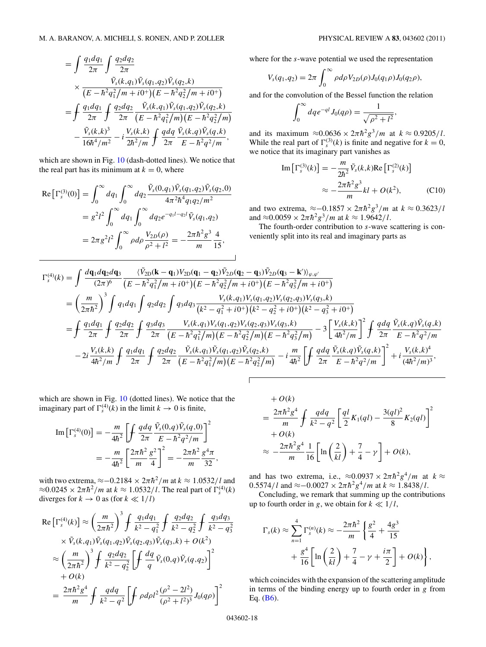<span id="page-17-0"></span>
$$
= \int \frac{q_1 dq_1}{2\pi} \int \frac{q_2 dq_2}{2\pi}
$$
  
\n
$$
\times \frac{\tilde{V}_s(k,q_1)\tilde{V}_s(q_1,q_2)\tilde{V}_s(q_2,k)}{(E - \hbar^2 q_1^2/m + i0^+)(E - \hbar^2 q_2^2/m + i0^+)}
$$
  
\n
$$
= \int \frac{q_1 dq_1}{2\pi} \int \frac{q_2 dq_2}{2\pi} \frac{\tilde{V}_s(k,q_1)\tilde{V}_s(q_1,q_2)\tilde{V}_s(q_2,k)}{(E - \hbar^2 q_1^2/m)(E - \hbar^2 q_2^2/m)}
$$
  
\n
$$
- \frac{\tilde{V}_s(k,k)^3}{16\hbar^4/m^2} - i \frac{V_s(k,k)}{2\hbar^2/m} \int \frac{q dq}{2\pi} \frac{\tilde{V}_s(k,q)\tilde{V}_s(q,k)}{E - \hbar^2 q^2/m},
$$

which are shown in Fig. [10](#page-16-0) (dash-dotted lines). We notice that the real part has its minimum at  $k = 0$ , where

$$
\begin{split} \text{Re}\left[\Gamma_{s}^{(3)}(0)\right] &= \int_{0}^{\infty} dq_{1} \int_{0}^{\infty} dq_{2} \frac{\tilde{V}_{s}(0,q_{1}) \tilde{V}_{s}(q_{1},q_{2}) \tilde{V}_{s}(q_{2},0)}{4\pi^{2} \hbar^{4} q_{1} q_{2}/m^{2}} \\ &= g^{2} l^{2} \int_{0}^{\infty} dq_{1} \int_{0}^{\infty} dq_{2} e^{-q_{1}l - q_{2}l} \tilde{V}_{s}(q_{1},q_{2}) \\ &= 2\pi g^{2} l^{2} \int_{0}^{\infty} \rho d\rho \frac{V_{2D}(\rho)}{\rho^{2} + l^{2}} = -\frac{2\pi \hbar^{2} g^{3}}{m} \frac{4}{15}, \end{split}
$$

where for the *s*-wave potential we used the representation

$$
V_s(q_1,q_2) = 2\pi \int_0^\infty \rho d\rho V_{2D}(\rho) J_0(q_1\rho) J_0(q_2\rho),
$$

and for the convolution of the Bessel function the relation

$$
\int_0^{\infty} dq e^{-ql} J_0(q\rho) = \frac{1}{\sqrt{\rho^2 + l^2}},
$$

and its maximum  $\approx 0.0636 \times 2\pi \hbar^2 g^3/m$  at  $k \approx 0.9205/l$ . While the real part of  $\Gamma_s^{(3)}(k)$  is finite and negative for  $k = 0$ , we notice that its imaginary part vanishes as

Im 
$$
\left[\Gamma_s^{(3)}(k)\right] = -\frac{m}{2\hbar^2} \tilde{V}_s(k,k) \text{Re}\left[\Gamma_s^{(2)}(k)\right]
$$
  

$$
\approx -\frac{2\pi\hbar^2 g^3}{m} k l + O(k^2), \tag{C10}
$$

and two extrema,  $\approx -0.1857 \times 2\pi \hbar^2 g^3/m$  at  $k \approx 0.3623/l$ and  $\approx 0.0059 \times 2\pi \hbar^2 g^3/m$  at  $k \approx 1.9642/l$ .

The fourth-order contribution to *s*-wave scattering is conveniently split into its real and imaginary parts as

$$
\Gamma_{s}^{(4)}(k) = \int \frac{d\mathbf{q}_{1}d\mathbf{q}_{2}d\mathbf{q}_{3}}{(2\pi)^{6}} \frac{\langle \tilde{V}_{2D}(\mathbf{k}-\mathbf{q}_{1})V_{2D}(\mathbf{q}_{1}-\mathbf{q}_{2})\tilde{V}_{2D}(\mathbf{q}_{2}-\mathbf{q}_{3})\tilde{V}_{2D}(\mathbf{q}_{3}-\mathbf{k}')\rangle_{\varphi,\varphi'}}{(E-\hbar^{2}q_{1}^{2}/m+i0^{+})(E-\hbar^{2}q_{2}^{2}/m+i0^{+})(E-\hbar^{2}q_{3}^{2}/m+i0^{+})}
$$
\n
$$
= \left(\frac{m}{2\pi\hbar^{2}}\right)^{3} \int q_{1}dq_{1} \int q_{2}dq_{2} \int q_{3}dq_{3} \frac{V_{s}(k,q_{1})V_{s}(q_{1},q_{2})V_{s}(q_{2},q_{3})V_{s}(q_{3},k)}{(k^{2}-q_{1}^{2}+i0^{+})(k^{2}-q_{2}^{2}+i0^{+})(k^{2}-q_{3}^{2}+i0^{+})}
$$
\n
$$
= \int \frac{q_{1}dq_{1}}{2\pi} \int \frac{q_{2}dq_{2}}{2\pi} \int \frac{q_{3}dq_{3}}{2\pi} \frac{V_{s}(k,q_{1})V_{s}(q_{1},q_{2})V_{s}(q_{2},q_{3})V_{s}(q_{3},k)}{(E-\hbar^{2}q_{2}^{2}/m)(E-\hbar^{2}q_{3}^{2}/m)} - 3\left[\frac{V_{s}(k,k)}{4\hbar^{2}/m}\right]^{2} \int \frac{qdq}{2\pi} \frac{\tilde{V}_{s}(k,q)\tilde{V}_{s}(q,k)}{E-\hbar^{2}q^{2}/m}
$$
\n
$$
-2i\frac{V_{s}(k,k)}{4\hbar^{2}/m} \int \frac{q_{1}dq_{1}}{2\pi} \int \frac{q_{2}dq_{2}}{2\pi} \frac{\tilde{V}_{s}(k,q_{1})\tilde{V}_{s}(q_{1},q_{2})\tilde{V}_{s}(q_{2},k)}{(E-\hbar^{2}q_{1}^{2}/m)(E-\hbar^{2}q_{2}^{2}/m)} - i\frac{m}{4\hbar^{
$$

which are shown in Fig. [10](#page-16-0) (dotted lines). We notice that the imaginary part of  $\Gamma_s^{(4)}(k)$  in the limit  $k \to 0$  is finite,

$$
\begin{split} \text{Im}\left[\Gamma_{s}^{(4)}(0)\right] &= -\frac{m}{4\hbar^2} \left[ \oint \frac{q \, dq}{2\pi} \frac{\tilde{V}_s(0, q) \tilde{V}_s(q, 0)}{E - \hbar^2 q^2 / m} \right]^2 \\ &= -\frac{m}{4\hbar^2} \left[ \frac{2\pi \hbar^2}{m} \frac{g^2}{4} \right]^2 = -\frac{2\pi \hbar^2}{m} \frac{g^4 \pi}{32}, \end{split}
$$

with two extrema,  $\approx$  -0.2184  $\times$  2 $\pi \hbar^2/m$  at  $k \approx 1.0532/l$  and  $\approx$  0.0245  $\times$  2 $\pi \hbar^2/m$  at  $k \approx 1.0532/l$ . The real part of  $\Gamma_s^{(4)}(k)$ diverges for  $k \to 0$  as (for  $k \ll 1/l$ )

$$
\begin{split} \text{Re}\left[\Gamma_{s}^{(4)}(k)\right] &\approx \left(\frac{m}{2\pi\hbar^{2}}\right)^{3} \oint \frac{q_{1}dq_{1}}{k^{2}-q_{1}^{2}} \oint \frac{q_{2}dq_{2}}{k^{2}-q_{2}^{2}} \oint \frac{q_{3}dq_{3}}{k^{2}-q_{3}^{2}} \\ &\times \tilde{V}_{s}(k,q_{1}) \tilde{V}_{s}(q_{1},q_{2}) \tilde{V}_{s}(q_{2},q_{3}) \tilde{V}_{s}(q_{3},k) + O(k^{2}) \\ &\approx \left(\frac{m}{2\pi\hbar^{2}}\right)^{3} \oint \frac{q_{2}dq_{2}}{k^{2}-q_{2}^{2}} \left[\oint \frac{dq}{q} \tilde{V}_{s}(0,q) \tilde{V}_{s}(q,q_{2})\right]^{2} \\ &+ O(k) \\ & = \frac{2\pi\hbar^{2}g^{4}}{m} \oint \frac{qdq}{k^{2}-q^{2}} \left[\oint \rho d\rho l^{2} \frac{(\rho^{2}-2l^{2})}{(\rho^{2}+l^{2})^{3}} J_{0}(q\rho)\right]^{2} \end{split}
$$

 $+ O(k)$  $=\frac{2\pi\hbar^2g^4}{m}\int \frac{qdq}{k^2-q^2}$  $k^2 - q^2$  $\lceil q \rceil$  $\frac{q}{2}K_1(ql) - \frac{3(ql)^2}{8}$  $\frac{q^{l}}{8} K_{2}(q^{l})\bigg]^{2}$  $+ O(k)$  $\approx -\frac{2\pi\hbar^2 g^4}{2\pi}$ *m*  $\frac{1}{16} \left[ \ln \left( \frac{2}{kl} \right) + \frac{7}{4} - \gamma \right] + O(k),$ 

and has two extrema, i.e.,  $\approx 0.0937 \times 2\pi \hbar^2 g^4/m$  at  $k \approx$  $0.5574/l$  and  $\approx -0.0027 \times 2\pi \hbar^2 g^4/m$  at  $k \approx 1.8438/l$ .

Concluding, we remark that summing up the contributions up to fourth order in *g*, we obtain for  $k \ll 1/l$ ,

$$
\Gamma_s(k) \approx \sum_{n=1}^4 \Gamma_s^{(n)}(k) \approx -\frac{2\pi\hbar^2}{m} \left\{ \frac{g^2}{4} + \frac{4g^3}{15} + \frac{g^4}{16} \left[ \ln\left(\frac{2}{kl}\right) + \frac{7}{4} - \gamma + \frac{i\pi}{2} \right] + O(k) \right\}
$$

*,*

which coincides with the expansion of the scattering amplitude in terms of the binding energy up to fourth order in *g* from Eq. [\(B6\)](#page-15-0).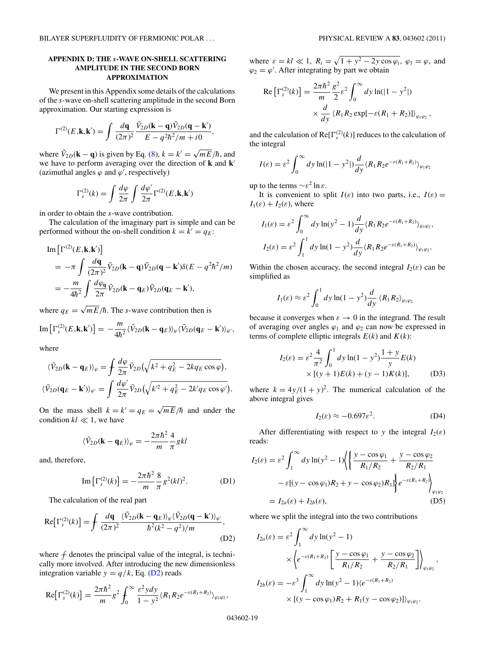## <span id="page-18-0"></span>**APPENDIX D: THE** *s***-WAVE ON-SHELL SCATTERING AMPLITUDE IN THE SECOND BORN APPROXIMATION**

We present in this Appendix some details of the calculations of the *s*-wave on-shell scattering amplitude in the second Born approximation. Our starting expression is

$$
\Gamma^{(2)}(E,\mathbf{k},\mathbf{k}') = \int \frac{d\mathbf{q}}{(2\pi)^2} \frac{\tilde{V}_{2D}(\mathbf{k}-\mathbf{q})\tilde{V}_{2D}(\mathbf{q}-\mathbf{k}')}{E - q^2\hbar^2/m + i0},
$$

where  $\tilde{V}_{2D}(\mathbf{k} - \mathbf{q})$  is given by Eq. [\(8\)](#page-3-0),  $k = k' = \sqrt{mE}/\hbar$ , and we have to perform averaging over the direction of **k** and **k** (azimuthal angles  $\varphi$  and  $\varphi'$ , respectively)

$$
\Gamma_s^{(2)}(k) = \int \frac{d\varphi}{2\pi} \int \frac{d\varphi'}{2\pi} \Gamma^{(2)}(E, \mathbf{k}, \mathbf{k}')
$$

in order to obtain the *s*-wave contribution.

The calculation of the imaginary part is simple and can be performed without the on-shell condition  $k = k' = q_E$ :

Im 
$$
[\Gamma^{(2)}(E, \mathbf{k}, \mathbf{k}')]
$$
  
\n
$$
= -\pi \int \frac{d\mathbf{q}}{(2\pi)^2} \tilde{V}_{2D}(\mathbf{k} - \mathbf{q}) \tilde{V}_{2D}(\mathbf{q} - \mathbf{k}') \delta(E - q^2 \hbar^2/m)
$$
\n
$$
= -\frac{m}{4\hbar^2} \int \frac{d\varphi_{\mathbf{q}}}{2\pi} \tilde{V}_{2D}(\mathbf{k} - \mathbf{q}_E) \tilde{V}_{2D}(\mathbf{q}_E - \mathbf{k}'),
$$

where  $q_E = \sqrt{mE}/\hbar$ . The *s*-wave contribution then is

Im 
$$
\left[\Gamma_s^{(2)}(E,\mathbf{k},\mathbf{k}')\right] = -\frac{m}{4\hbar^2} \langle \tilde{V}_{2D}(\mathbf{k}-\mathbf{q}_E) \rangle_{\varphi} \langle \tilde{V}_{2D}(\mathbf{q}_E-\mathbf{k}') \rangle_{\varphi'},
$$

where

$$
\langle \tilde{V}_{2D}(\mathbf{k} - \mathbf{q}_E) \rangle_{\varphi} = \oint \frac{d\varphi}{2\pi} \tilde{V}_{2D}(\sqrt{k^2 + q_E^2 - 2kq_E \cos \varphi}),
$$
  

$$
\langle \tilde{V}_{2D}(\mathbf{q}_E - \mathbf{k}') \rangle_{\varphi'} = \int \frac{d\varphi'}{2\pi} \tilde{V}_{2D}(\sqrt{k'^2 + q_E^2 - 2k'q_E \cos \varphi'}).
$$

On the mass shell  $k = k' = q_E = \sqrt{mE}/\hbar$  and under the condition  $kl \ll 1$ , we have

$$
\langle \tilde{V}_{2D}(\mathbf{k} - \mathbf{q}_E) \rangle_{\varphi} = -\frac{2\pi\hbar^2}{m} \frac{4}{\pi} gkl
$$

and, therefore,

Im 
$$
\left[\Gamma_s^{(2)}(k)\right] = -\frac{2\pi\hbar^2}{m}\frac{8}{\pi}g^2(kl)^2.
$$
 (D1)

The calculation of the real part

$$
\operatorname{Re}\big[\Gamma_s^{(2)}(k)\big] = \oint \frac{d\mathbf{q}}{(2\pi)^2} \frac{\langle \tilde{V}_{2D}(\mathbf{k} - \mathbf{q}_E) \rangle_{\varphi} \langle \tilde{V}_{2D}(\mathbf{q} - \mathbf{k}') \rangle_{\varphi'}}{\hbar^2 (k^2 - q^2)/m},\tag{D2}
$$

where  $\ddot{+}$  denotes the principal value of the integral, is technically more involved. After introducing the new dimensionless integration variable  $y = q/k$ , Eq. (D2) reads

$$
\text{Re}\big[\Gamma_s^{(2)}(k)\big]=\frac{2\pi\hbar^2}{m}g^2\int_0^\infty\frac{\varepsilon^2 ydy}{1-y^2}\langle R_1R_2e^{-\varepsilon(R_1+R_2)}\rangle_{\varphi_1\varphi_2},
$$

where  $\varepsilon = kl \ll 1$ ,  $R_i = \sqrt{1 + y^2 - 2y \cos \varphi_i}$ ,  $\varphi_1 = \varphi$ , and  $\varphi_2 = \varphi'$ . After integrating by part we obtain

Re 
$$
\left[\Gamma_s^{(2)}(k)\right] = \frac{2\pi\hbar^2}{m} \frac{g^2}{2} \varepsilon^2 \int_0^\infty dy \ln(|1 - y^2|)
$$
  
  $\times \frac{d}{dy} \langle R_1 R_2 \exp[-\varepsilon (R_1 + R_2)] \rangle_{\varphi_1 \varphi_2},$ 

and the calculation of  $\text{Re}[\Gamma_s^{(2)}(k)]$  reduces to the calculation of the integral

$$
I(\varepsilon) = \varepsilon^2 \int_0^\infty dy \ln(|1 - y^2|) \frac{d}{dy} \langle R_1 R_2 e^{-\varepsilon (R_1 + R_2)} \rangle_{\varphi_1 \varphi_2}
$$

up to the terms  $\sim \varepsilon^2 \ln \varepsilon$ .

It is convenient to split  $I(\varepsilon)$  into two parts, i.e.,  $I(\varepsilon)$  =  $I_1(\varepsilon) + I_2(\varepsilon)$ , where

$$
I_1(\varepsilon) = \varepsilon^2 \int_0^\infty dy \ln(y^2 - 1) \frac{d}{dy} \langle R_1 R_2 e^{-\varepsilon (R_1 + R_2)} \rangle_{\varphi_1 \varphi_2},
$$
  

$$
I_2(\varepsilon) = \varepsilon^2 \int_1^1 dy \ln(1 - y^2) \frac{d}{dy} \langle R_1 R_2 e^{-\varepsilon (R_1 + R_2)} \rangle_{\varphi_1 \varphi_2}.
$$

Within the chosen accuracy, the second integral  $I_2(\varepsilon)$  can be simplified as

$$
I_1(\varepsilon) \approx \varepsilon^2 \int_0^1 dy \ln(1 - y^2) \frac{d}{dy} \left\langle R_1 R_2 \right\rangle_{\varphi_1 \varphi_2}
$$

because it converges when  $\varepsilon \to 0$  in the integrand. The result of averaging over angles  $\varphi_1$  and  $\varphi_2$  can now be expressed in terms of complete elliptic integrals  $E(k)$  and  $K(k)$ :

$$
I_2(\varepsilon) = \varepsilon^2 \frac{4}{\pi^2} \int_0^1 dy \ln(1 - y^2) \frac{1 + y}{y} E(k)
$$
  
× [(y + 1)E(k) + (y - 1)K(k)], (D3)

where  $k = 4y/(1 + y)^2$ . The numerical calculation of the above integral gives

$$
I_2(\varepsilon) \approx -0.697\varepsilon^2. \tag{D4}
$$

After differentiating with respect to *y* the integral  $I_2(\varepsilon)$ reads:

$$
I_2(\varepsilon) = \varepsilon^2 \int_1^\infty dy \ln(y^2 - 1) \left\{ \left\{ \frac{y - \cos \varphi_1}{R_1/R_2} + \frac{y - \cos \varphi_2}{R_2/R_1} - \varepsilon [(y - \cos \varphi_1)R_2 + y - \cos \varphi_2)R_1] \right\} e^{-\varepsilon (R_1 + R_2)} \right\}
$$
  
=  $I_{2a}(\varepsilon) + I_{2b}(\varepsilon),$  (D5)

where we split the integral into the two contributions

$$
I_{2a}(\varepsilon) = \varepsilon^2 \int_1^\infty dy \ln(y^2 - 1)
$$
  
\$\times \left\{ e^{-\varepsilon (R\_1 + R\_2)} \left[ \frac{y - \cos \varphi\_1}{R\_1/R\_2} + \frac{y - \cos \varphi\_2}{R\_2/R\_1} \right] \right\}\_{\varphi\_1 \varphi\_2}\$,  

$$
I_{2b}(\varepsilon) = -\varepsilon^3 \int_1^\infty dy \ln(y^2 - 1) \left\{ e^{-\varepsilon (R_1 + R_2)} \right\}_{\varphi_1 \varphi_2} \times \left[ (y - \cos \varphi_1) R_2 + R_1 (y - \cos \varphi_2) \right] \right\}_{\varphi_1 \varphi_2}.
$$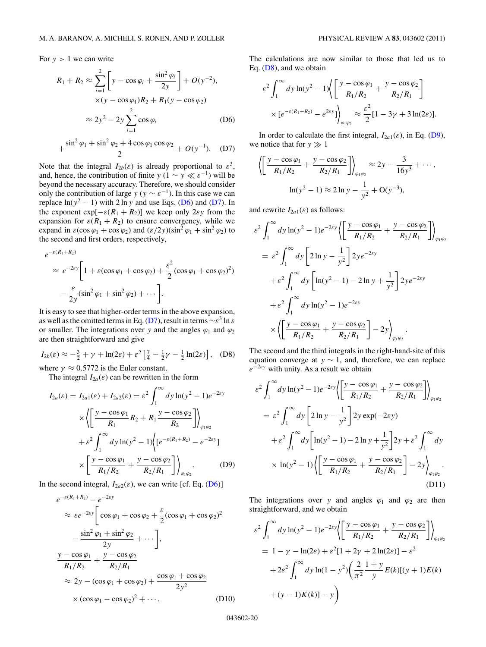<span id="page-19-0"></span>For  $y > 1$  we can write

$$
R_1 + R_2 \approx \sum_{i=1}^{2} \left[ y - \cos \varphi_i + \frac{\sin^2 \varphi_i}{2y} \right] + O(y^{-2}),
$$
  
 
$$
\times (y - \cos \varphi_1) R_2 + R_1 (y - \cos \varphi_2)
$$
  
 
$$
\approx 2y^2 - 2y \sum_{i=1}^{2} \cos \varphi_i
$$
 (D6)

$$
+\frac{\sin^2\varphi_1+\sin^2\varphi_2+4\cos\varphi_1\cos\varphi_2}{2}+O(y^{-1}).\quad(D7)
$$

Note that the integral  $I_{2b}(\varepsilon)$  is already proportional to  $\varepsilon^3$ , and, hence, the contribution of finite *y* (1 ~ *y*  $\ll \varepsilon^{-1}$ ) will be beyond the necessary accuracy. Therefore, we should consider only the contribution of large *y* ( $y \sim \varepsilon^{-1}$ ). In this case we can replace  $ln(y^2 - 1)$  with 2 ln *y* and use Eqs. (D6) and (D7). In the exponent  $\exp[-\varepsilon(R_1 + R_2)]$  we keep only  $2\varepsilon y$  from the expansion for  $\varepsilon(R_1 + R_2)$  to ensure convergency, while we expand in  $\varepsilon(\cos\varphi_1 + \cos\varphi_2)$  and  $(\varepsilon/2y)(\sin^2\varphi_1 + \sin^2\varphi_2)$  to the second and first orders, respectively,

$$
e^{-\varepsilon (R_1 + R_2)}
$$
  
\n
$$
\approx e^{-2\varepsilon y} \left[ 1 + \varepsilon (\cos \varphi_1 + \cos \varphi_2) + \frac{\varepsilon^2}{2} (\cos \varphi_1 + \cos \varphi_2)^2 \right]
$$
  
\n
$$
- \frac{\varepsilon}{2y} (\sin^2 \varphi_1 + \sin^2 \varphi_2) + \cdots \right].
$$

It is easy to see that higher-order terms in the above expansion, as well as the omitted terms in Eq. (D7), result in terms  $\sim \varepsilon^3 \ln \varepsilon$ or smaller. The integrations over *y* and the angles  $\varphi_1$  and  $\varphi_2$ are then straightforward and give

$$
I_{2b}(\varepsilon) \approx -\frac{3}{2} + \gamma + \ln(2\varepsilon) + \varepsilon^2 \left[\frac{7}{4} - \frac{1}{2}\gamma - \frac{1}{2}\ln(2\varepsilon)\right], \quad (D8)
$$

where  $\gamma \approx 0.5772$  is the Euler constant.

The integral  $I_{2a}(\varepsilon)$  can be rewritten in the form

$$
I_{2a}(\varepsilon) = I_{2a1}(\varepsilon) + I_{2a2}(\varepsilon) = \varepsilon^2 \int_1^\infty dy \ln(y^2 - 1) e^{-2\varepsilon y} \times \left\{ \left[ \frac{y - \cos \varphi_1}{R_1} R_2 + R_1 \frac{y - \cos \varphi_2}{R_2} \right] \right\}_{\varphi_1 \varphi_2} + \varepsilon^2 \int_1^\infty dy \ln(y^2 - 1) \left\{ \left[ e^{-\varepsilon (R_1 + R_2)} - e^{-2\varepsilon y} \right] \right. \times \left[ \frac{y - \cos \varphi_1}{R_1/R_2} + \frac{y - \cos \varphi_2}{R_2/R_1} \right] \right\}_{\varphi_1 \varphi_2} .
$$
 (D9)

In the second integral,  $I_{2a2}(\varepsilon)$ , we can write [cf. Eq. (D6)]

$$
e^{-\varepsilon(R_1+R_2)} - e^{-2\varepsilon y}
$$
  
\n
$$
\approx \varepsilon e^{-2\varepsilon y} \bigg[ \cos \varphi_1 + \cos \varphi_2 + \frac{\varepsilon}{2} (\cos \varphi_1 + \cos \varphi_2)^2
$$
  
\n
$$
- \frac{\sin^2 \varphi_1 + \sin^2 \varphi_2}{2y} + \cdots \bigg],
$$
  
\n
$$
\frac{y - \cos \varphi_1}{R_1/R_2} + \frac{y - \cos \varphi_2}{R_2/R_1}
$$
  
\n
$$
\approx 2y - (\cos \varphi_1 + \cos \varphi_2) + \frac{\cos \varphi_1 + \cos \varphi_2}{2y^2}
$$
  
\n
$$
\times (\cos \varphi_1 - \cos \varphi_2)^2 + \cdots. \qquad (D10)
$$

The calculations are now similar to those that led us to Eq. (D8), and we obtain

$$
\varepsilon^2 \int_1^\infty dy \ln(y^2 - 1) \Biggl\{ \Biggl[ \frac{y - \cos \varphi_1}{R_1/R_2} + \frac{y - \cos \varphi_2}{R_2/R_1} \Biggr] \times \left[ e^{-\varepsilon (R_1 + R_2)} - e^{2\varepsilon y} \right] \Biggr\}_{\varphi_1 \varphi_2} \approx \frac{\varepsilon^2}{2} [1 - 3\gamma + 3 \ln(2\varepsilon)].
$$

In order to calculate the first integral,  $I_{2a1}(\varepsilon)$ , in Eq. (D9), we notice that for  $y \gg 1$ 

$$
\left\langle \left[ \frac{y - \cos \varphi_1}{R_1/R_2} + \frac{y - \cos \varphi_2}{R_2/R_1} \right] \right\rangle_{\varphi_1 \varphi_2} \approx 2y - \frac{3}{16y^3} + \cdots,
$$
  

$$
\ln(y^2 - 1) \approx 2 \ln y - \frac{1}{y^2} + O(y^{-3}),
$$

and rewrite  $I_{2a1}(\varepsilon)$  as follows:

$$
\varepsilon^{2} \int_{1}^{\infty} dy \ln(y^{2} - 1) e^{-2\epsilon y} \left\{ \left[ \frac{y - \cos \varphi_{1}}{R_{1}/R_{2}} + \frac{y - \cos \varphi_{2}}{R_{2}/R_{1}} \right] \right\}_{\varphi_{1}\varphi_{2}}
$$
\n
$$
= \varepsilon^{2} \int_{1}^{\infty} dy \left[ 2 \ln y - \frac{1}{y^{2}} \right] 2y e^{-2\epsilon y}
$$
\n
$$
+ \varepsilon^{2} \int_{1}^{\infty} dy \left[ \ln(y^{2} - 1) - 2 \ln y + \frac{1}{y^{2}} \right] 2y e^{-2\epsilon y}
$$
\n
$$
+ \varepsilon^{2} \int_{1}^{\infty} dy \ln(y^{2} - 1) e^{-2\epsilon y}
$$
\n
$$
\times \left\{ \left[ \frac{y - \cos \varphi_{1}}{R_{1}/R_{2}} + \frac{y - \cos \varphi_{2}}{R_{2}/R_{1}} \right] - 2y \right\}_{\varphi_{1}\varphi_{2}}.
$$

The second and the third integrals in the right-hand-site of this equation converge at  $y \sim 1$ , and, therefore, we can replace *e*<sup>−2*εy*</sup> with unity. As a result we obtain

$$
\varepsilon^{2} \int_{1}^{\infty} dy \ln(y^{2} - 1) e^{-2\epsilon y} \left\{ \left[ \frac{y - \cos \varphi_{1}}{R_{1}/R_{2}} + \frac{y - \cos \varphi_{2}}{R_{2}/R_{1}} \right] \right\}_{\varphi_{1}\varphi_{2}}
$$
\n
$$
= \varepsilon^{2} \int_{1}^{\infty} dy \left[ 2 \ln y - \frac{1}{y^{2}} \right] 2y \exp(-2\varepsilon y)
$$
\n
$$
+ \varepsilon^{2} \int_{1}^{\infty} dy \left[ \ln(y^{2} - 1) - 2 \ln y + \frac{1}{y^{2}} \right] 2y + \varepsilon^{2} \int_{1}^{\infty} dy
$$
\n
$$
\times \ln(y^{2} - 1) \left\{ \left[ \frac{y - \cos \varphi_{1}}{R_{1}/R_{2}} + \frac{y - \cos \varphi_{2}}{R_{2}/R_{1}} \right] - 2y \right\}_{\varphi_{1}\varphi_{2}}.
$$
\n(D11)

The integrations over *y* and angles  $\varphi_1$  and  $\varphi_2$  are then straightforward, and we obtain

$$
\varepsilon^{2} \int_{1}^{\infty} dy \ln(y^{2} - 1) e^{-2\epsilon y} \left\{ \left[ \frac{y - \cos \varphi_{1}}{R_{1}/R_{2}} + \frac{y - \cos \varphi_{2}}{R_{2}/R_{1}} \right] \right\}_{\varphi_{1}\varphi_{2}}
$$
  
=  $1 - \gamma - \ln(2\varepsilon) + \varepsilon^{2} [1 + 2\gamma + 2\ln(2\varepsilon)] - \varepsilon^{2}$   
+  $2\varepsilon^{2} \int_{1}^{\infty} dy \ln(1 - y^{2}) \left( \frac{2}{\pi^{2}} \frac{1 + y}{y} E(k)[(y + 1)E(k) + (y - 1)K(k)] - y \right)$ 

043602-20